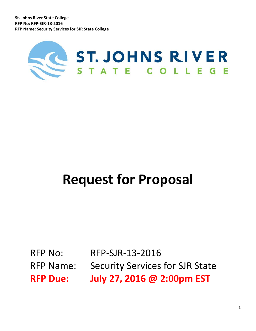

# **Request for Proposal**

RFP No: RFP-SJR-13-2016 RFP Name: Security Services for SJR State **RFP Due: July 27, 2016 @ 2:00pm EST**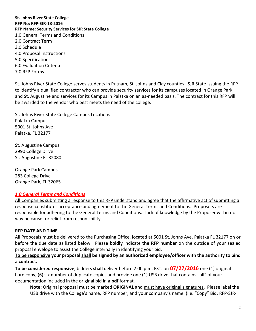**St. Johns River State College RFP No: RFP-SJR-13-2016 RFP Name: Security Services for SJR State College** 1.0 General Terms and Conditions 2.0 Contract Term 3.0 Schedule 4.0 Proposal Instructions 5.0 Specifications 6.0 Evaluation Criteria 7.0 RFP Forms

St. Johns River State College serves students in Putnam, St. Johns and Clay counties. SJR State issuing the RFP to identify a qualified contractor who can provide security services for its campuses located in Orange Park, and St. Augustine and services for its Campus in Palatka on an as-needed basis. The contract for this RFP will be awarded to the vendor who best meets the need of the college.

St. Johns River State College Campus Locations Palatka Campus 5001 St. Johns Ave Palatka, FL 32177

St. Augustine Campus 2990 College Drive St. Augustine FL 32080

Orange Park Campus 283 College Drive Orange Park, FL 32065

#### *1.0 General Terms and Conditions*

All Companies submitting a response to this RFP understand and agree that the affirmative act of submitting a response constitutes acceptance and agreement to the General Terms and Conditions. Proposers are responsible for adhering to the General Terms and Conditions. Lack of knowledge by the Proposer will in no way be cause for relief from responsibility.

#### **RFP DATE AND TIME**

All Proposals must be delivered to the Purchasing Office, located at 5001 St. Johns Ave, Palatka FL 32177 on or before the due date as listed below. Please **boldly** indicate **the RFP number** on the outside of your sealed proposal envelope to assist the College internally in identifying your bid.

#### **To be responsive your proposal shall be signed by an authorized employee/officer with the authority to bind a contract.**

**To be considered responsive**, bidders **shall** deliver before 2:00 p.m. EST. on **07/27/2016** one (1) original hard copy, (6) six number of duplicate copies and provide one (1) USB drive that contains "all" of your documentation included in the original bid in a **pdf** format.

**Note:** Original proposal must be marked **ORIGINAL** and must have original signatures. Please label the USB drive with the College's name, RFP number, and your company's name. (i.e. "Copy" Bid, RFP-SJR-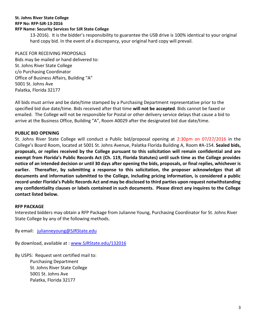13-2016). It is the bidder's responsibility to guarantee the USB drive is 100% identical to your original hard copy bid. In the event of a discrepancy, your original hard copy will prevail.

#### PLACE FOR RECEIVING PROPOSALS Bids may be mailed or hand delivered to:

St. Johns River State College c/o Purchasing Coordinator Office of Business Affairs, Building "A" 5001 St. Johns Ave Palatka, Florida 32177

All bids must arrive and be date/time stamped by a Purchasing Department representative prior to the specified bid due date/time. Bids received after that time **will not be accepted**. Bids cannot be faxed or emailed. The College will not be responsible for Postal or other delivery service delays that cause a bid to arrive at the Business Office, Building "A", Room A0029 after the designated bid due date/time.

# **PUBLIC BID OPENING**

St. Johns River State College will conduct a Public bid/proposal opening at 2:30pm on 07/27/2016 in the College's Board Room, located at 5001 St. Johns Avenue, Palatka Florida Building A, Room #A-154. **Sealed bids, proposals, or replies received by the College pursuant to this solicitation will remain confidential and are exempt from Florida's Public Records Act (Ch. 119, Florida Statutes) until such time as the College provides notice of an intended decision or until 30 days after opening the bids, proposals, or final replies, whichever is earlier. Thereafter, by submitting a response to this solicitation, the proposer acknowledges that all documents and information submitted to the College, including pricing information, is considered a public record under Florida's Public Records Act and may be disclosed to third parties upon request notwithstanding any confidentiality clauses or labels contained in such documents. Please direct any inquires to the College contact listed below.**

#### **RFP PACKAGE**

Interested bidders may obtain a RFP Package from Julianne Young, Purchasing Coordinator for St. Johns River State College by any of the following methods.

By email: [julianneyoung@SJRState.edu](mailto:julianneyoung@SJRState.edu)

By download, available at : [www.SJRState.edu/132016](http://www.sjrstate.edu/132016)

By USPS: Request sent certified mail to: Purchasing Department St. Johns River State College 5001 St. Johns Ave Palatka, Florida 32177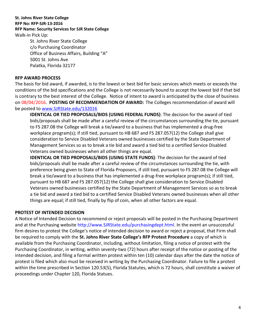#### **St. Johns River State College RFP No: RFP-SJR-13-2016 RFP Name: Security Services for SJR State College** Walk-in Pick Up: St. Johns River State College

c/o Purchasing Coordinator Office of Business Affairs, Building "A" 5001 St. Johns Ave Palatka, Florida 32177

#### **RFP AWARD PROCESS**

The basis for bid award, if awarded, is to the lowest or best bid for basic services which meets or exceeds the conditions of the bid specifications and the College is not necessarily bound to accept the lowest bid if that bid is contrary to the best interest of the College. Notice of intent to award is anticipated by the close of business on 08/04/2016. **POSTING OF RECOMMENDATION OF AWARD:** The Colleges recommendation of award will be posted to [www.SJRState.edu/1](http://www.sjrstate.edu/)32016

**IDENTICAL OR TIED PROPOSALS/BIDS (USING FEDERAL FUNDS)**: The decision for the award of tied bids/proposals shall be made after a careful review of the circumstances surrounding the tie, pursuant to FS 287.08 the College will break a tie/award to a business that has implemented a drug-free workplace program(s); if still tied, pursuant to HB 687 and FS 287.057(12) the College shall give consideration to Service Disabled Veterans owned businesses certified by the State Department of Management Services so as to break a tie bid and award a tied bid to a certified Service Disabled Veterans owned businesses when all other things are equal.

**IDENTICAL OR TIED PROPOSALS/BIDS (USING STATE FUNDS)**: The decision for the award of tied bids/proposals shall be made after a careful review of the circumstances surrounding the tie, with preference being given to State of Florida Proposers, if still tied, pursuant to FS 287.08 the College will break a tie/award to a business that has implemented a drug-free workplace program(s); if still tied, pursuant to HB 687 and FS 287.057(12) the College shall give consideration to Service Disabled Veterans owned businesses certified by the State Department of Management Services so as to break a tie bid and award a tied bid to a certified Service Disabled Veterans owned businesses when all other things are equal; if still tied, finally by flip of coin, when all other factors are equal.

#### **PROTEST OF INTENDED DECISION**

A Notice of Intended Decision to recommend or reject proposals will be posted in the Purchasing Department and at the Purchasing website http://www.SJRState.edu/purchasingdept.html. In the event an unsuccessful firm desires to protest the College's notice of intended decision to award or reject a proposal, that Firm shall be required to comply with the **St. Johns River State College's RFP Protest Procedure** a copy of which is available from the Purchasing Coordinator, including, without limitation, filing a notice of protest with the Purchasing Coordinator, in writing, within seventy-two (72) hours after receipt of the notice or posting of the intended decision, and filing a formal written protest within ten (10) calendar days after the date the notice of protest is filed which also must be received in writing by the Purchasing Coordinator. Failure to file a protest within the time prescribed in Section 120.53(5), Florida Statutes, which is 72 hours, shall constitute a waiver of proceedings under Chapter 120, Florida Statues.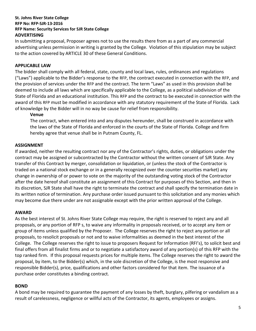In submitting a proposal, Proposer agrees not to use the results there from as a part of any commercial advertising unless permission in writing is granted by the College. Violation of this stipulation may be subject to the action covered by ARTICLE 30 of these General Conditions.

#### **APPLICABLE LAW**

The bidder shall comply with all federal, state, county and local laws, rules, ordinances and regulations ("Laws") applicable to the Bidder's response to the RFP, the contract executed in connection with the RFP, and the provision of services under the RFP and the contract. The term "Laws" as used in this provision shall be deemed to include all laws which are specifically applicable to the College, as a political subdivision of the State of Florida and an educational institution. This RFP and the contract to be executed in connection with the award of this RFP must be modified in accordance with any statutory requirement of the State of Florida. Lack of knowledge by the Bidder will in no way be cause for relief from responsibility.

#### **Venue**

The contract, when entered into and any disputes hereunder, shall be construed in accordance with the laws of the State of Florida and enforced in the courts of the State of Florida. College and firm hereby agree that venue shall be in Putnam County, FL.

#### **ASSIGNMENT**

If awarded, neither the resulting contract nor any of the Contractor's rights, duties, or obligations under the contract may be assigned or subcontracted by the Contractor without the written consent of SJR State. Any transfer of this Contract by merger, consolidation or liquidation, or (unless the stock of the Contractor is traded on a national stock exchange or in a generally recognized over the counter securities market) any change in ownership of or power to vote on the majority of the outstanding voting stock of the Contractor after the date hereof shall constitute an assignment of this Contract for purposes of this Section, and then in its discretion, SJR State shall have the right to terminate the contract and shall specify the termination date in its written notice of termination. Any purchase order issued pursuant to this solicitation and any monies which may become due there under are not assignable except with the prior written approval of the College.

#### **AWARD**

As the best interest of St. Johns River State College may require, the right is reserved to reject any and all proposals, or any portion of RFP s, to waive any informality in proposals received, or to accept any item or group of items unless qualified by the Proposer. The College reserves the right to reject any portion or all proposals, to resolicit proposals or not and to waive informalities as deemed in the best interest of the College. The College reserves the right to issue to proposers Request for Information (RFI's), to solicit best and final offers from all finalist firms and or to negotiate a satisfactory award of any portion(s) of this RFP with the top ranked firm. If this proposal requests prices for multiple items. The College reserves the right to award the proposal, by item, to the Bidder(s) which, in the sole discretion of the College, is the most responsive and responsible Bidder(s), price, qualifications and other factors considered for that item. The issuance of a purchase order constitutes a binding contract.

#### **BOND**

A bond may be required to guarantee the payment of any losses by theft, burglary, pilfering or vandalism as a result of carelessness, negligence or willful acts of the Contractor, its agents, employees or assigns.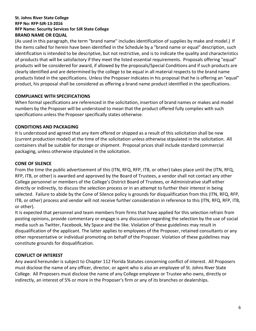(As used in this paragraph, the term "brand name" includes identification of supplies by make and model.) If the items called for herein have been identified in the Schedule by a "brand name or equal" description, such identification is intended to be descriptive, but not restrictive, and is to indicate the quality and characteristics of products that will be satisfactory if they meet the listed essential requirements. Proposals offering "equal" products will be considered for award, if allowed by the proposals/Special Conditions and if such products are clearly identified and are determined by the college to be equal in all material respects to the brand name products listed in the specifications. Unless the Proposer indicates in his proposal that he is offering an "equal" product, his proposal shall be considered as offering a brand name product identified in the specifications.

#### **COMPLIANCE WITH SPECIFICATIONS**

When formal specifications are referenced in the solicitation, insertion of brand names or makes and model numbers by the Proposer will be understood to mean that the product offered fully complies with such specifications unless the Proposer specifically states otherwise.

#### **CONDITIONS AND PACKAGING**

It is understood and agreed that any item offered or shipped as a result of this solicitation shall be new (current production model) at the time of the solicitation unless otherwise stipulated in the solicitation. All containers shall be suitable for storage or shipment. Proposal prices shall include standard commercial packaging, unless otherwise stipulated in the solicitation.

#### **CONE OF SILENCE**

From the time the public advertisement of this (ITN, RFQ, RFP, ITB, or other) takes place until the (ITN, RFQ, RFP, ITB, or other) is awarded and approved by the Board of Trustees, a vendor shall not contact any other College personnel or members of the College's District Board of Trustees, or Administrative staff either directly or indirectly, to discuss the selection process or in an attempt to further their interest in being selected. Failure to abide by the Cone of Silence policy is grounds for disqualification from this (ITN, RFQ, RFP, ITB, or other) process and vendor will not receive further consideration in reference to this (ITN, RFQ, RFP, ITB, or other).

It is expected that personnel and team members from firms that have applied for this selection refrain from posting opinions, provide commentary or engage is any discussion regarding the selection by the use of social media such as Twitter, Facebook, My Space and the like. Violation of these guidelines may result in disqualification of the applicant. The latter applies to employees of the Proposer, retained consultants or any other representative or individual promoting on behalf of the Proposer. Violation of these guidelines may constitute grounds for disqualification.

#### **CONFLICT OF INTEREST**

Any award hereunder is subject to Chapter 112 Florida Statutes concerning conflict of interest. All Proposers must disclose the name of any officer, director, or agent who is also an employee of St. Johns River State College. All Proposers must disclose the name of any College employee or Trustee who owns, directly or indirectly, an interest of 5% or more in the Proposer's firm or any of its branches or dealerships.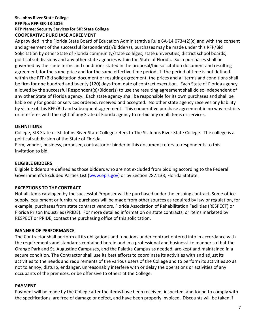#### **St. Johns River State College RFP No: RFP-SJR-13-2016 RFP Name: Security Services for SJR State College COOPERATIVE PURCHASE AGREEMENT**

As provided in the Florida State Board of Education Administrative Rule 6A-14.0734(2)(c) and with the consent and agreement of the successful Respondent(s)/Bidder(s), purchases may be made under this RFP/Bid Solicitation by other State of Florida community/state colleges, state universities, district school boards, political subdivisions and any other state agencies within the State of Florida. Such purchases shall be governed by the same terms and conditions stated in the proposal/bid solicitation document and resulting agreement, for the same price and for the same effective time period. If the period of time is not defined within the RFP/Bid solicitation document or resulting agreement, the prices and all terms and conditions shall be firm for one hundred and twenty (120) days from date of contract execution. Each State of Florida agency allowed by the successful Respondent(s)/Bidder(s) to use the resulting agreement shall do so independent of any other State of Florida agency. Each state agency shall be responsible for its own purchases and shall be liable only for goods or services ordered, received and accepted. No other state agency receives any liability by virtue of this RFP/Bid and subsequent agreement. This cooperative purchase agreement in no way restricts or interferes with the right of any State of Florida agency to re-bid any or all items or services.

#### **DEFINITIONS**

College, SJR State or St. Johns River State College refers to The St. Johns River State College. The college is a political subdivision of the State of Florida.

Firm, vendor, business, proposer, contractor or bidder in this document refers to respondents to this invitation to bid.

#### **ELIGIBLE BIDDERS**

Eligible bidders are defined as those bidders who are not excluded from bidding according to the Federal Government's Excluded Parties List ([www.epls.gov\)](http://www.epls.gov/) or by Section 287.133, Florida Statute.

#### **EXCEPTIONS TO THE CONTRACT**

Not all items cataloged by the successful Proposer will be purchased under the ensuing contract. Some office supply, equipment or furniture purchases will be made from other sources as required by law or regulation, for example, purchases from state contract vendors, Florida Association of Rehabilitation Facilities (RESPECT) or Florida Prison Industries (PRIDE). For more detailed information on state contracts, or items marketed by RESPECT or PRIDE, contact the purchasing office of this solicitation.

#### **MANNER OF PERFORMANCE**

The Contractor shall perform all its obligations and functions under contract entered into in accordance with the requirements and standards contained herein and in a professional and businesslike manner so that the Orange Park and St. Augustine Campuses, and the Palatka Campus as needed, are kept and maintained in a secure condition. The Contractor shall use its best efforts to coordinate its activities with and adjust its activities to the needs and requirements of the various users of the College and to perform its activities so as not to annoy, disturb, endanger, unreasonably interfere with or delay the operations or activities of any occupants of the premises, or be offensive to others at the College.

#### **PAYMENT**

Payment will be made by the College after the items have been received, inspected, and found to comply with the specifications, are free of damage or defect, and have been properly invoiced. Discounts will be taken if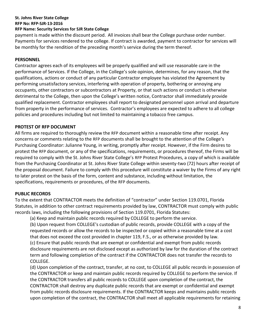**RFP No: RFP-SJR-13-2016**

#### **RFP Name: Security Services for SJR State College**

payment is made within the discount period. All invoices shall bear the College purchase order number. Payments for services rendered to the college. If contract is awarded, payment to contractor for services will be monthly for the rendition of the preceding month's service during the term thereof.

#### **PERSONNEL**

Contractor agrees each of its employees will be properly qualified and will use reasonable care in the performance of Services. If the College, in the College's sole opinion, determines, for any reason, that the qualifications, actions or conduct of any particular Contractor employee has violated the Agreement by performing unsatisfactory services, interfering with operation of property, bothering or annoying any occupants, other contractors or subcontractors at Property, or that such actions or conduct is otherwise detrimental to the College, then upon the College's written notice, Contractor shall immediately provide qualified replacement. Contractor employees shall report to designated personnel upon arrival and departure from property in the performance of services. Contractor's employees are expected to adhere to all college policies and procedures including but not limited to maintaining a tobacco free campus.

#### **PROTEST OF RFP DOCUMENT**

All firms are required to thoroughly review the RFP document within a reasonable time after receipt. Any concerns or comments relating to the RFP documents shall be brought to the attention of the College's Purchasing Coordinator: Julianne Young, in writing, promptly after receipt. However, if the Firm desires to protest the RFP document, or any of the specifications, requirements, or procedures thereof, the Firms will be required to comply with the St. Johns River State College's RFP Protest Procedures, a copy of which is available from the Purchasing Coordinator at St. Johns River State College within seventy-two (72) hours after receipt of the proposal document. Failure to comply with this procedure will constitute a waiver by the Firms of any right to later protest on the basis of the form, content and substance, including without limitation, the specifications, requirements or procedures, of the RFP documents.

# **PUBLIC RECORDS**

To the extent that CONTRACTOR meets the definition of "contractor" under Section 119.0701, Florida Statutes, in addition to other contract requirements provided by law, CONTRACTOR must comply with public records laws, including the following provisions of Section 119.0701, Florida Statutes:

(a) Keep and maintain public records required by COLLEGE to perform the service.

(b) Upon request from COLLEGE's custodian of public records, provide COLLEGE with a copy of the requested records or allow the records to be inspected or copied within a reasonable time at a cost that does not exceed the cost provided in chapter 119, F.S., or as otherwise provided by law. (c) Ensure that public records that are exempt or confidential and exempt from public records disclosure requirements are not disclosed except as authorized by law for the duration of the contract term and following completion of the contract if the CONTRACTOR does not transfer the records to COLLEGE.

(d) Upon completion of the contract, transfer, at no cost, to COLLEGE all public records in possession of the CONTRACTOR or keep and maintain public records required by COLLEGE to perform the service. If the CONTRACTOR transfers all public records to COLLEGE upon completion of the contract, the CONTRACTOR shall destroy any duplicate public records that are exempt or confidential and exempt from public records disclosure requirements. If the CONTRACTOR keeps and maintains public records upon completion of the contract, the CONTRACTOR shall meet all applicable requirements for retaining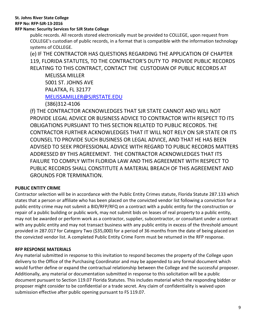#### **RFP No: RFP-SJR-13-2016**

#### **RFP Name: Security Services for SJR State College**

public records. All records stored electronically must be provided to COLLEGE, upon request from COLLEGE's custodian of public records, in a format that is compatible with the information technology systems of COLLEGE.

(e) IF THE CONTRACTOR HAS QUESTIONS REGARDING THE APPLICATION OF CHAPTER 119, FLORIDA STATUTES, TO THE CONTRACTOR'S DUTY TO PROVIDE PUBLIC RECORDS RELATING TO THIS CONTRACT, CONTACT THE CUSTODIAN OF PUBLIC RECORDS AT

MELISSA MILLER 5001 ST. JOHNS AVE PALATKA, FL 32177 [MELISSAMILLER@SJRSTATE.EDU](mailto:MELISSAMILLER@SJRSTATE.EDU)

(386)312-4106

(f) THE CONTRACTOR ACKNOWLEDGES THAT SJR STATE CANNOT AND WILL NOT PROVIDE LEGAL ADVICE OR BUSINESS ADVICE TO CONTRACTOR WITH RESPECT TO ITS OBLIGATIONS PURSUANT TO THIS SECTION RELATED TO PUBLIC RECORDS. THE CONTRACTOR FURTHER ACKNOWLEDGES THAT IT WILL NOT RELY ON SJR STATE OR ITS COUNSEL TO PROVIDE SUCH BUSINESS OR LEGAL ADVICE, AND THAT HE HAS BEEN ADVISED TO SEEK PROFESSIONAL ADVICE WITH REGARD TO PUBLIC RECORDS MATTERS ADDRESSED BY THIS AGREEMENT. THE CONTRACTOR ACKNOWLEDGES THAT ITS FAILURE TO COMPLY WITH FLORIDA LAW AND THIS AGREEMENT WITH RESPECT TO PUBLIC RECORDS SHALL CONSTITUTE A MATERIAL BREACH OF THIS AGREEMENT AND GROUNDS FOR TERMINATION.

#### **PUBLIC ENTITY CRIME**

Contractor selection will be in accordance with the Public Entity Crimes statute, Florida Statute 287.133 which states that a person or affiliate who has been placed on the convicted vendor list following a conviction for a public entity crime may not submit a BID/RFP/RFQ on a contract with a public entity for the construction or repair of a public building or public work, may not submit bids on leases of real property to a public entity, may not be awarded or perform work as a contractor, supplier, subcontractor, or consultant under a contract with any public entity and may not transact business with any public entity in excess of the threshold amount provided in 287.017 for Category Two (\$35,000) for a period of 36 months from the date of being placed on the convicted vendor list. A completed Public Entity Crime Form must be returned in the RFP response.

#### **RFP RESPONSE MATERIALS**

Any material submitted in response to this invitation to respond becomes the property of the College upon delivery to the Office of the Purchasing Coordinator and may be appended to any formal document which would further define or expand the contractual relationship between the College and the successful proposer. Additionally, any material or documentation submitted in response to this solicitation will be a public document pursuant to Section 119.07 Florida Statutes. This includes material which the responding bidder or proposer might consider to be confidential or a trade secret. Any claim of confidentiality is waived upon submission effective after public opening pursuant to FS 119.07.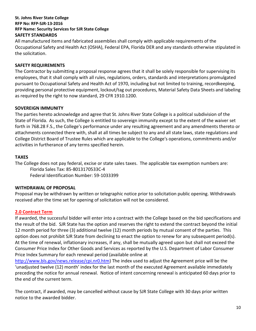All manufactured items and fabricated assemblies shall comply with applicable requirements of the Occupational Safety and Health Act (OSHA), Federal EPA, Florida DER and any standards otherwise stipulated in the solicitation.

#### **SAFETY REQUIREMENTS**

The Contractor by submitting a proposal response agrees that it shall be solely responsible for supervising its employees, that it shall comply with all rules, regulations, orders, standards and interpretations promulgated pursuant to Occupational Safety and Health Act of 1970, including but not limited to training, recordkeeping, providing personal protective equipment, lockout/tag out procedures, Material Safety Data Sheets and labeling as required by the right to now standard, 29 CFR 1910.1200.

#### **SOVEREIGN IMMUNITY**

The parties hereto acknowledge and agree that St. Johns River State College is a political subdivision of the State of Florida. As such, the College is entitled to sovereign immunity except to the extent of the waiver set forth in 768.28 F.S., the College's performance under any resulting agreement and any amendments thereto or attachments connected there with, shall at all times be subject to any and all state laws, state regulations and College District Board of Trustee Rules which are applicable to the College's operations, commitments and/or activities in furtherance of any terms specified herein.

#### **TAXES**

The College does not pay federal, excise or state sales taxes. The applicable tax exemption numbers are:

Florida Sales Tax: 85-8013170533C-4

Federal Identification Number: 59-1033399

#### **WITHDRAWAL OF PROPOSAL**

Proposal may be withdrawn by written or telegraphic notice prior to solicitation public opening. Withdrawals received after the time set for opening of solicitation will not be considered.

#### **2.0 Contract Term**

If awarded, the successful bidder will enter into a contract with the College based on the bid specifications and the result of the bid. SJR State has the option and reserves the right to extend the contract beyond the initial 12 month period for three (3) additional twelve (12) month periods by mutual consent of the parties. This option does not prohibit SJR State from declining to enact the option to renew for any subsequent period(s). At the time of renewal, inflationary increases, if any, shall be mutually agreed upon but shall not exceed the Consumer Price Index for Other Goods and Services as reported by the U.S. Department of Labor Consumer Price Index Summary for each renewal period (available online at

[http://www.bls.gov/news.release/cpi.nr0.htm\)](http://www.bls.gov/news.release/cpi.nr0.htm) The index used to adjust the Agreement price will be the 'unadjusted twelve (12) month' index for the last month of the executed Agreement available immediately preceding the notice for annual renewal. Notice of intent concerning renewal is anticipated 60 days prior to the end of the current term.

The contract, if awarded, may be cancelled without cause by SJR State College with 30 days prior written notice to the awarded bidder.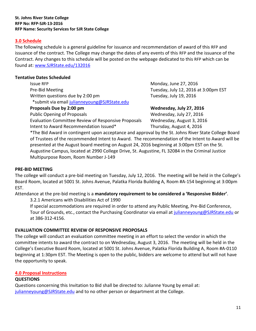#### **3.0 Schedule**

The following schedule is a general guideline for issuance and recommendation of award of this RFP and issuance of the contract. The College may change the dates of any events of this RFP and the issuance of the Contract. Any changes to this schedule will be posted on the webpage dedicated to this RFP which can be found at: [www.SJRState.edu/1](http://www.sjrstate.edu/)32016

#### **Tentative Dates Scheduled**

**Issue RFP** Monday, June 27, 2016 Pre-Bid Meeting Tuesday, July 12, 2016 at 3:00pm EST Written questions due by 2:00 pm Tuesday, July 19, 2016 \*submit via email [julianneyoung@SJRState.edu](mailto:julianneyoung@SJRState.edu)

**Proposals Due by 2:00 pm Wednesday, July 27, 2016**

Public Opening of Proposals **No. 2016** Wednesday, July 27, 2016

Evaluation Committee Review of Responsive Proposals Wednesday, August 3, 2016 Intent to Award Recommendation Issued\* Thursday, August 4, 2016

\*The Bid Award in contingent upon acceptance and approval by the St. Johns River State College Board of Trustees of the recommended Intent to Award. The recommendation of the Intent to Award will be presented at the August board meeting on August 24, 2016 beginning at 3:00pm EST on the St. Augustine Campus, located at 2990 College Drive, St. Augustine, FL 32084 in the Criminal Justice Multipurpose Room, Room Number J-149

#### **PRE-BID MEETING**

The college will conduct a pre-bid meeting on Tuesday, July 12, 2016. The meeting will be held in the College's Board Room, located at 5001 St. Johns Avenue, Palatka Florida Building A, Room #A-154 beginning at 3:00pm EST.

Attendance at the pre-bid meeting is a **mandatory requirement to be considered a 'Responsive Bidder'**.

3.2.1 Americans with Disabilities Act of 1990

If special accommodations are required in order to attend any Public Meeting, Pre-Bid Conference, Tour of Grounds, etc., contact the Purchasing Coordinator via email a[t julianneyoung@SJRState.edu](mailto:julianneyoung@SJRState.edu) or at 386-312-4156.

#### **EVALUATION COMMITTEE REVIEW OF RESPONSIVE PROPOSALS**

The college will conduct an evaluation committee meeting in an effort to select the vendor in which the committee intents to award the contract to on Wednesday, August 3, 2016. The meeting will be held in the College's Executive Board Room, located at 5001 St. Johns Avenue, Palatka Florida Building A, Room #A-0110 beginning at 1:30pm EST. The Meeting is open to the public, bidders are welcome to attend but will not have the opportunity to speak.

#### **4.0 Proposal Instructions**

#### **QUESTIONS**

Questions concerning this Invitation to Bid shall be directed to: Julianne Young by email at: [julianneyoung@SJRState.edu](mailto:julianneyoung@SJRState.edu) and to no other person or department at the College.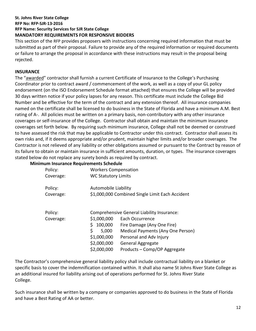#### **St. Johns River State College RFP No: RFP-SJR-13-2016 RFP Name: Security Services for SJR State College MANDATORY REQUIREMENTS FOR RESPONSIVE BIDDERS**

This section of the RFP provides proposers with instructions concerning required information that must be submitted as part of their proposal. Failure to provide any of the required information or required documents or failure to arrange the proposal in accordance with these instructions may result in the proposal being rejected.

#### **INSURANCE**

The "awarded" contractor shall furnish a current Certificate of Insurance to the College's Purchasing Coordinator prior to contract award / commencement of the work, as well as a copy of your GL policy endorsement (on the ISO Endorsement Schedule format attached) that ensures the College will be provided 30 days written notice if your policy lapses for any reason. This certificate must include the College Bid Number and be effective for the term of the contract and any extension thereof. All insurance companies named on the certificate shall be licensed to do business in the State of Florida and have a minimum A.M. Best rating of A-. All policies must be written on a primary basis, non-contributory with any other insurance coverages or self-insurance of the College. Contractor shall obtain and maintain the minimum insurance coverages set forth below. By requiring such minimum insurance, College shall not be deemed or construed to have assessed the risk that may be applicable to Contractor under this contract. Contractor shall assess its own risks and, if it deems appropriate and/or prudent, maintain higher limits and/or broader coverages. The Contractor is not relieved of any liability or other obligations assumed or pursuant to the Contract by reason of its failure to obtain or maintain insurance in sufficient amounts, duration, or types. The insurance coverages stated below do not replace any surety bonds as required by contract.

#### **Minimum Insurance Requirements Schedule**

| Policy:<br>Coverage: | <b>Workers Compensation</b><br><b>WC Statutory Limits</b>                               |                                                                                                                                                                                                                         |  |  |
|----------------------|-----------------------------------------------------------------------------------------|-------------------------------------------------------------------------------------------------------------------------------------------------------------------------------------------------------------------------|--|--|
| Policy:<br>Coverage: | Automobile Liability                                                                    | \$1,000,000 Combined Single Limit Each Accident                                                                                                                                                                         |  |  |
| Policy:<br>Coverage: | \$1,000,000<br>Ś<br>100,000<br>\$<br>5,000<br>\$1,000,000<br>\$2,000,000<br>\$2,000,000 | Comprehensive General Liability Insurance:<br>Each Occurrence<br>Fire Damage (Any One Fire)<br>Medical Payments (Any One Person)<br>Personal and Adv Injury<br><b>General Aggregate</b><br>Products – Comp/OP Aggregate |  |  |

The Contractor's comprehensive general liability policy shall include contractual liability on a blanket or specific basis to cover the indemnification contained within. It shall also name St Johns River State College as an additional insured for liability arising out of operations performed for St. Johns River State College.

Such insurance shall be written by a company or companies approved to do business in the State of Florida and have a Best Rating of AA or better.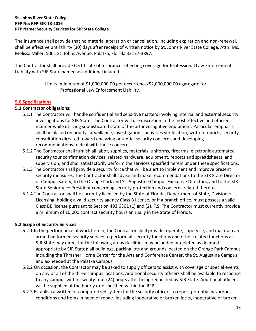The insurance shall provide that no material alteration or cancellation, including expiration and non-renewal, shall be effective until thirty (30) days after receipt of written notice by St. Johns River State College, Attn: Ms. Melissa Miller, 5001 St. Johns Avenue, Palatka, Florida 32177-3897.

The Contractor shall provide Certificate of Insurance reflecting coverage for Professional Law Enforcement Liability with SJR State named as additional insured:

> Limits: minimum of \$1,000,000.00 per occurrence/\$2,000,000.00 aggregate for Professional Law Enforcement Liability.

#### **5.0 Specifications**

#### **5.1 Contractor obligations:**

- 5.1.1 The Contractor will handle confidential and sensitive matters involving internal and external security investigations for SJR State. The Contractor will use discretion in the most effective and efficient manner while utilizing sophisticated state of the art investigative equipment. Particular emphasis shall be placed on hourly surveillance, investigations, activities verification, written reports, security consultation directed toward analyzing potential security concerns and developing recommendations to deal with those concerns.
- 5.1.2 The Contractor shall furnish all labor, supplies, materials, uniforms, firearms, electronic automated security tour confirmation devices, related hardware, equipment, reports and spreadsheets, and supervision, and shall satisfactorily perform the services specified herein under these specifications.
- 5.1.3 The Contractor shall provide a security force that will be alert to implement and improve present security measures. The Contractor shall advise and make recommendations to the SJR State Director of Campus Safety, to the Orange Park and St. Augustine Campus Executive Directors, and to the SJR State Senior Vice President concerning security protection and concerns related thereto.
- 5.1.4 The Contractor shall be currently licensed by the State of Florida, Department of State, Division of Licensing, holding a valid security agency Class B license, or if a branch office, must possess a valid Class BB license pursuant to Section 493.6301 (1) and (2), F.S. The Contractor must currently provide a minimum of 10,000 contract security hours annually in the State of Florida.

# **5.2 Scope of Security Services**

- 5.2.1 In the performance of work herein, the Contractor shall provide, operate, supervise, and maintain an armed uniformed security service to perform all security functions and other related functions as SJR State may direct for the following areas (facilities may be added or deleted as deemed appropriate by SJR State): all buildings, parking lots and grounds located on the Orange Park Campus including the Thrasher Horne Center for the Arts and Conference Center, the St. Augustine Campus, and as-needed at the Palatka Campus.
- 5.2.2 On occasion, the Contractor may be asked to supply officers to assist with coverage or special events on any or all of the three campus locations. Additional security officers shall be available to response to any campus within twenty-four (24) hours after being requested by SJR State. Additional officers will be supplied at the hourly rate specified within the RFP.
- 5.2.3 Establish a written or computerized system for the security officers to report potential hazardous conditions and items in need of repair, including inoperative or broken locks, inoperative or broken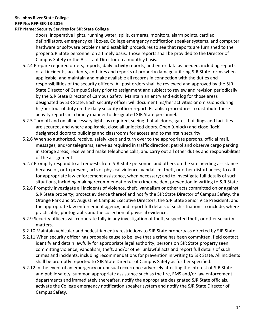#### **RFP No: RFP-SJR-13-2016**

#### **RFP Name: Security Services for SJR State College**

doors, inoperative lights, running water, spills, cameras, monitors, alarm points, cardiac defibrillators, emergency call boxes, College emergency notification speaker systems, and computer hardware or software problems and establish procedures to see that reports are furnished to the proper SJR State personnel on a timely basis. Those reports shall be provided to the Director of Campus Safety or the Assistant Director on a monthly basis.

- 5.2.4 Prepare required orders, reports, daily activity reports, and enter data as needed, including reports of all incidents, accidents, and fires and reports of property damage utilizing SJR State forms when applicable, and maintain and make available all records in connection with the duties and responsibilities of the security officers. All post orders shall be reviewed and approved by the SJR State Director of Campus Safety prior to assignment and subject to review and revision periodically by the SJR State Director of Campus Safety. Maintain an entry and exit log for those areas designated by SJR State. Each security officer will document his/her activities or omissions during his/her tour of duty on the daily security officer report. Establish procedures to distribute these activity reports in a timely manner to designated SJR State personnel.
- 5.2.5 Turn off and on all necessary lights as required, seeing that all doors, gates, buildings and facilities are secured, and where applicable, close all unlocked doors. Open (unlock) and close (lock) designated doors to buildings and classrooms for access and to maintain security.
- 5.2.6 When so authorized, receive, safely keep and turn over to the appropriate persons, official mail, messages, and/or telegrams; serve as required in traffic direction; patrol and observe cargo parking in storage areas; receive and make telephone calls; and carry out all other duties and responsibilities of the assignment.
- 5.2.7 Promptly respond to all requests from SJR State personnel and others on the site needing assistance because of, or to prevent, acts of physical violence, vandalism, theft, or other disturbances; to call for appropriate law enforcement assistance, when necessary; and to investigate full details of such situations, including making recommendations for crime/incident prevention in writing to SJR State.
- 5.2.8 Promptly investigate all incidents of violence, theft, vandalism or other acts committed on or against SJR State property; protect evidence thereof and notify the SJR State Director of Campus Safety, the Orange Park and St. Augustine Campus Executive Directors, the SJR State Senior Vice President, and the appropriate law enforcement agency; and report full details of such situations to include, where practicable, photographs and the collection of physical evidence.
- 5.2.9 Security officers will cooperate fully in any investigation of theft, suspected theft, or other security matters.
- 5.2.10 Maintain vehicular and pedestrian entry restrictions to SJR State property as directed by SJR State.
- 5.2.11 When security officer has probable cause to believe that a crime has been committed, field contact, identify and detain lawfully for appropriate legal authority, persons on SJR State property seen committing violence, vandalism, theft, and/or other unlawful acts and report full details of such crimes and incidents, including recommendations for prevention in writing to SJR State. All incidents shall be promptly reported to SJR State Director of Campus Safety as further specified.
- 5.2.12 In the event of an emergency or unusual occurrence adversely affecting the interest of SJR State and public safety, summon appropriate assistance such as the fire, EMS and/or law enforcement departments and immediately thereafter, notify the appropriate designated SJR State officials, activate the College emergency notification speaker system and notify the SJR State Director of Campus Safety.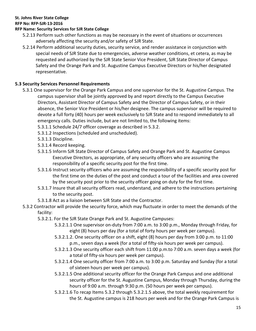#### **RFP No: RFP-SJR-13-2016**

#### **RFP Name: Security Services for SJR State College**

- 5.2.13 Perform such other functions as may be necessary in the event of situations or occurrences adversely affecting the security and/or safety of SJR State.
- 5.2.14 Perform additional security duties, security service, and render assistance in conjunction with special needs of SJR State due to emergencies, adverse weather conditions, et cetera, as may be requested and authorized by the SJR State Senior Vice President, SJR State Director of Campus Safety and the Orange Park and St. Augustine Campus Executive Directors or his/her designated representative.

#### **5.3 Security Services Personnel Requirements**

- 5.3.1 One supervisor for the Orange Park Campus and one supervisor for the St. Augustine Campus. The campus supervisor shall be jointly approved by and report directly to the Campus Executive Directors, Assistant Director of Campus Safety and the Director of Campus Safety, or in their absence, the Senior Vice President or his/her designee. The campus supervisor will be required to devote a full forty (40) hours per week exclusively to SJR State and to respond immediately to all emergency calls. Duties include, but are not limited to, the following items:
	- 5.3.1.1 Schedule 24/7 officer coverage as described in 5.3.2.
	- 5.3.1.2 Inspections (scheduled and unscheduled).
	- 5.3.1.3 Discipline.
	- 5.3.1.4 Record keeping.
	- 5.3.1.5 Inform SJR State Director of Campus Safety and Orange Park and St. Augustine Campus Executive Directors, as appropriate, of any security officers who are assuming the responsibility of a specific security post for the first time.
	- 5.3.1.6 Instruct security officers who are assuming the responsibility of a specific security post for the first time on the duties of the post and conduct a tour of the facilities and area covered by the security post prior to the security officer going on duty for the first time.
	- 5.3.1.7 Insure that all security officers read, understand, and adhere to the instructions pertaining to the security post.
	- 5.3.1.8 Act as a liaison between SJR State and the Contractor.
- 5.3.2 Contractor will provide the security force, which may fluctuate in order to meet the demands of the facility:
	- 5.3.2.1. For the SJR State Orange Park and St. Augustine Campuses:
		- 5.3.2.1.1 One supervisor on-duty from 7:00 a.m. to 3:00 p.m., Monday through Friday, for eight (8) hours per day (for a total of forty hours per week per campus).
		- 5.3.2.1.2. One security officer on a shift, eight (8) hours per day from 3:00 p.m. to 11:00 p.m., seven days a week (for a total of fifty-six hours per week per campus).
		- 5.3.2.1.3 One security officer each shift from 11:00 p.m.to 7:00 a.m. seven days a week (for a total of fifty-six hours per week per campus).
		- 5.3.2.1.4 One security officer from 7:00 a.m. to 3:00 p.m. Saturday and Sunday (for a total of sixteen hours per week per campus).
		- 5.3.2.1.5 One additional security officer for the Orange Park Campus and one additional security officer for the St. Augustine Campus, Monday through Thursday, during the hours of 9:00 a.m. through 9:30 p.m. (50 hours per week per campus).
		- 5.3.2.1.6 To recap Items 5.3.2 through 5.3.2.1.5 above, the total weekly requirement for the St. Augustine campus is 218 hours per week and for the Orange Park Campus is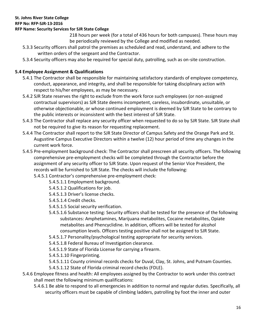#### **RFP No: RFP-SJR-13-2016**

#### **RFP Name: Security Services for SJR State College**

218 hours per week (for a total of 436 hours for both campuses). These hours may be periodically reviewed by the College and modified as needed.

- 5.3.3 Security officers shall patrol the premises as scheduled and read, understand, and adhere to the written orders of the sergeant and the Contractor.
- 5.3.4 Security officers may also be required for special duty, patrolling, such as on-site construction.

# **5.4 Employee Assignment & Qualifications**

- 5.4.1 The Contractor shall be responsible for maintaining satisfactory standards of employee competency, conduct, appearance, and integrity, and shall be responsible for taking disciplinary action with respect to his/her employees, as may be necessary.
- 5.4.2 SJR State reserves the right to exclude from the work force such employees (or non-assigned contractual supervisors) as SJR State deems incompetent, careless, insubordinate, unsuitable, or otherwise objectionable, or whose continued employment is deemed by SJR State to be contrary to the public interests or inconsistent with the best interest of SJR State.
- 5.4.3 The Contractor shall replace any security officer when requested to do so by SJR State. SJR State shall not be required to give its reason for requesting replacement.
- 5.4.4 The Contractor shall report to the SJR State Director of Campus Safety and the Orange Park and St. Augustine Campus Executive Directors within a twelve (12) hour period of time any changes in the current work force.
- 5.4.5 Pre-employment background check: The Contractor shall prescreen all security officers. The following comprehensive pre-employment checks will be completed through the Contractor before the assignment of any security officer to SJR State. Upon request of the Senior Vice President, the records will be furnished to SJR State. The checks will include the following:
	- 5.4.5.1 Contractor's comprehensive pre-employment check:
		- 5.4.5.1.1 Employment background.
		- 5.4.5.1.2 Qualifications for job.
		- 5.4.5.1.3 Driver's license checks.
		- 5.4.5.1.4 Credit checks.
		- 5.4.5.1.5 Social security verification.
		- 5.4.5.1.6 Substance testing: Security officers shall be tested for the presence of the following substances: Amphetamines, Marijuana metabolites, Cocaine metabolites, Opiate metabolites and Phencyclidine. In addition, officers will be tested for alcohol consumption levels. Officers testing positive shall not be assigned to SJR State.
		- 5.4.5.1.7 Personality/psychological testing appropriate for security services.
		- 5.4.5.1.8 Federal Bureau of Investigation clearance.
		- 5.4.5.1.9 State of Florida License for carrying a firearm.
		- 5.4.5.1.10 Fingerprinting.
		- 5.4.5.1.11 County criminal records checks for Duval, Clay, St. Johns, and Putnam Counties.
		- 5.4.5.1.12 State of Florida criminal record checks (FDLE).
- 5.4.6 Employee fitness and health: All employees assigned by the Contractor to work under this contract shall meet the following minimum qualifications:
	- 5.4.6.1 Be able to respond to all emergencies in addition to normal and regular duties. Specifically, all security officers must be capable of climbing ladders, patrolling by foot the inner and outer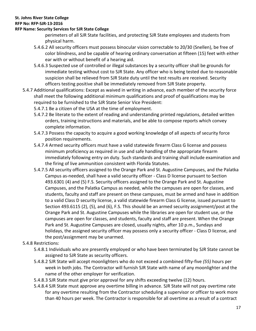#### **RFP No: RFP-SJR-13-2016**

#### **RFP Name: Security Services for SJR State College**

perimeters of all SJR State facilities, and protecting SJR State employees and students from physical harm.

- 5.4.6.2 All security officers must possess binocular vision correctable to 20/30 (Snellen), be free of color blindness, and be capable of hearing ordinary conversation at fifteen (15) feet with either ear with or without benefit of a hearing aid.
- 5.4.6.3 Suspected use of controlled or illegal substances by a security officer shall be grounds for immediate testing without cost to SJR State. Any officer who is being tested due to reasonable suspicion shall be relieved from SJR State duty until the test results are received. Security officers testing positive shall be immediately removed from SJR State property.
- 5.4.7 Additional qualifications: Except as waived in writing in advance, each member of the security force shall meet the following additional minimum qualifications and proof of qualifications may be required to be furnished to the SJR State Senior Vice President:

5.4.7.1 Be a citizen of the USA at the time of employment.

- 5.4.7.2 Be literate to the extent of reading and understanding printed regulations, detailed written orders, training instructions and materials, and be able to compose reports which convey complete information.
- 5.4.7.3 Possess the capacity to acquire a good working knowledge of all aspects of security force position requirements.
- 5.4.7.4 Armed security officers must have a valid statewide firearm Class G license and possess minimum proficiency as required in use and safe handling of the appropriate firearm immediately following entry on duty. Such standards and training shall include examination and the firing of live ammunition consistent with Florida Statutes.
- 5.4.7.5 All security officers assigned to the Orange Park and St. Augustine Campuses, and the Palatka Campus as-needed, shall have a valid security officer - Class D license pursuant to Section 493.6301 (4) and (5) F.S. Security officers assigned to the Orange Park and St. Augustine Campuses, and the Palatka Campus as needed, while the campuses are open for classes, and students, faculty and staff are present on these campuses, must be armed and have in addition to a valid Class D security license, a valid statewide firearm Class G license, issued pursuant to Section 493.6115 (2), (5), and (6), F.S. This should be an armed security assignment/post at the Orange Park and St. Augustine Campuses while the libraries are open for student use, or the campuses are open for classes, and students, faculty and staff are present. When the Orange Park and St. Augustine Campuses are closed, usually nights, after 10 p.m., Sundays and holidays, the assigned security officer may possess only a security officer - Class D license, and the post/assignment may be unarmed.

#### 5.4.8 Restrictions:

- 5.4.8.1 Individuals who are presently employed or who have been terminated by SJR State cannot be assigned to SJR State as security officers.
- 5.4.8.2 SJR State will accept moonlighters who do not exceed a combined fifty-five *(55)* hours per week in both jobs. The Contractor will furnish SJR State with name of any moonlighter and the name of the other employer for verification.
- 5.4.8.3 SJR State must give prior approval for any shifts exceeding twelve (12) hours.
- 5.4.8.4 SJR State must approve any overtime billing in advance. SJR State will not pay overtime rate for any overtime resulting from the Contractor scheduling a supervisor or officer to work more than 40 hours per week. The Contractor is responsible for all overtime as a result of a contract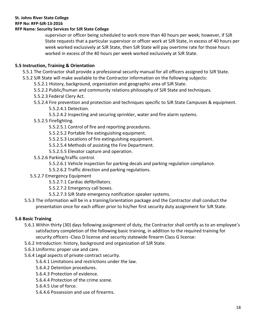#### **RFP No: RFP-SJR-13-2016**

#### **RFP Name: Security Services for SJR State College**

supervisor or officer being scheduled to work more than 40 hours per week; however, if SJR State requests that a particular supervisor or officer work at SJR State, in excess of 40 hours per week worked exclusively at SJR State, then SJR State will pay overtime rate for those hours worked in excess of the 40 hours per week worked exclusively at SJR State.

#### **5.5 Instruction, Training & Orientation**

- 5.5.1 The Contractor shall provide a professional security manual for all officers assigned to SJR State.
- 5.5.2 SJR State will make available to the Contractor information on the following subjects:
	- 5.5.2.1 History, background, organization and geographic area of SJR State.
	- 5.5.2.2 Public/human and community relations philosophy of SJR State and techniques.
	- 5.5.2.3 Federal Clery Act.
	- 5.5.2.4 Fire prevention and protection and techniques specific to SJR State Campuses & equipment. 5.5.2.4.1 Detection.
		- 5.5.2.4.2 Inspecting and securing sprinkler, water and fire alarm systems.
	- 5.5.2.5 Firefighting.
		- 5.5.2.5.1 Control of fire and reporting procedures.
		- 5.5.2.5.2 Portable fire extinguishing equipment.
		- 5.5.2.5.3 Locations of fire extinguishing equipment.
		- 5.5.2.5.4 Methods of assisting the Fire Department.
		- 5.5.2.5.5 Elevator capture and operation.
	- 5.5.2.6 Parking/traffic control.
		- 5.5.2.6.1 Vehicle inspection for parking decals and parking regulation compliance.
		- 5.5.2.6.2 Traffic direction and parking regulations.
	- 5.5.2.7 Emergency Equipment
		- 5.5.2.7.1 Cardiac defibrillators.
		- 5.5.2.7.2 Emergency call boxes.
		- 5.5.2.7.3 SJR State emergency notification speaker systems.
- 5.5.3 The information will be in a training/orientation package and the Contractor shall conduct the presentation once for each officer prior to his/her first security duty assignment for SJR State.

# **5.6 Basic Training**

- 5.6.1 Within thirty (30) days following assignment of duty, the Contractor shall certify as to an employee's satisfactory completion of the following basic training, in addition to the required training for security officers -Class D license and security statewide firearm Class G license:
- 5.6.2 Introduction: history, background and organization of SJR State.
- 5.6.3 Uniforms: proper use and care.
- 5.6.4 Legal aspects of private contract security.
	- 5.6.4.1 Limitations and restrictions under the law.
	- 5.6.4.2 Detention procedures.
	- 5.6.4.3 Protection of evidence.
	- 5.6.4.4 Protection of the crime scene.
	- 5.6.4.5 Use of force.
	- 5.6.4.6 Possession and use of firearms.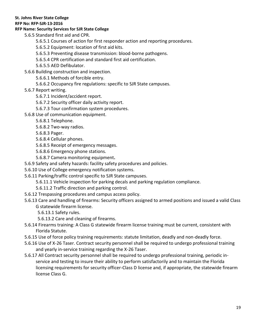#### **RFP No: RFP-SJR-13-2016**

#### **RFP Name: Security Services for SJR State College**

5.6.5 Standard first aid and CPR.

- 5.6.5.1 Courses of action for first responder action and reporting procedures.
- 5.6.5.2 Equipment: location of first aid kits.
- 5.6.5.3 Preventing disease transmission: blood-borne pathogens.
- 5.6.5.4 CPR certification and standard first aid certification.
- 5.6.5.5 AED Defibulator.
- 5.6.6 Building construction and inspection.
	- 5.6.6.1 Methods of forcible entry.
	- 5.6.6.2 Occupancy fire regulations: specific to SJR State campuses.
- 5.6.7 Report writing.
	- 5.6.7.1 Incident/accident report.
	- 5.6.7.2 Security officer daily activity report.
	- 5.6.7.3 Tour confirmation system procedures.
- 5.6.8 Use of communication equipment.
	- 5.6.8.1 Telephone.
	- 5.6.8.2 Two-way radios.
	- 5.6.8.3 Pager.
	- 5.6.8.4 Cellular phones.
	- 5.6.8.5 Receipt of emergency messages.
	- 5.6.8.6 Emergency phone stations.
	- 5.6.8.7 Camera monitoring equipment**.**
- 5.6.9 Safety and safety hazards: facility safety procedures and policies.
- 5.6.10 Use of College emergency notification systems.
- 5.6.11 Parking/traffic control specific to SJR State campuses.
	- 5.6.11.1 Vehicle inspection for parking decals and parking regulation compliance.
	- 5.6.11.2 Traffic direction and parking control.
- 5.6.12 Trespassing procedures and campus access policy.
- 5.6.13 Care and handling of firearms: Security officers assigned to armed positions and issued a valid Class G statewide firearm license.
	- 5.6.13.1 Safety rules.
	- 5.6.13.2 Care and cleaning of firearms.
- 5.6.14 Firearms training: A Class G statewide firearm license training must be current, consistent with Florida Statute.
- 5.6.15 Use of force policy training requirements: statute limitation, deadly and non-deadly force.
- 5.6.16 Use of X-26 Taser. Contract security personnel shall be required to undergo professional training and yearly in-service training regarding the X-26 Taser.
- 5.6.17 All Contract security personnel shall be required to undergo professional training, periodic inservice and testing to insure their ability to perform satisfactorily and to maintain the Florida licensing requirements for security officer-Class D license and, if appropriate, the statewide firearm license Class G.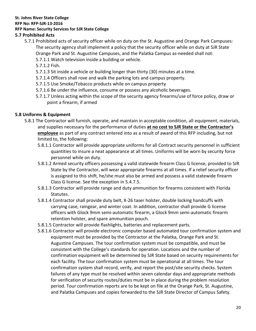**RFP No: RFP-SJR-13-2016**

#### **RFP Name: Security Services for SJR State College**

#### **5.7 Prohibited Acts**

- 5.7.1 Prohibited acts of security officer while on duty on the St. Augustine and Orange Park Campuses: The security agency shall implement a policy that the security officer while on duty at SJR State Orange Park and St. Augustine Campuses, and the Palatka Campus as-needed shall not:
	- 5.7.1.1 Watch television inside a building or vehicle.
	- 5.7.1.2 Fish.
	- 5.7.1.3 Sit inside a vehicle or building longer than thirty (30) minutes at a time.
	- 5.7.1.4 Officers shall rove and walk the parking lots and campus property.
	- 5.7.1.5 Use Smoke/Tobacco products while on campus property
	- 5.7.1.6 Be under the influence, consume or possess any alcoholic beverages.
	- 5.7.1.7 Unless acting within the scope of the security agency firearms/use of force policy, draw or point a firearm, if armed

#### **5.8 Uniforms & Equipment**

- 5.8.1 The Contractor will furnish, operate, and maintain in acceptable condition, all equipment, materials, and supplies necessary for the performance of duties **at no cost to SJR State or the Contractor's employee** as part of any contract entered into as a result of award of this RFP including, but not limited to, the following:
	- 5.8.1.1 Contractor will provide appropriate uniforms for all Contract security personnel in sufficient quantities to insure a neat appearance at all times. Uniforms will be worn by security force personnel while on duty.
	- 5.8.1.2 Armed security officers possessing a valid statewide firearm Class G license, provided to SJR State by the Contractor, will wear appropriate firearms at all times. If a relief security officer is assigned to this shift, he/she must also be armed and possess a valid statewide firearm Class G license. See the exception in 5.4.7.5.
	- 5.8.1.3 Contractor will provide range and duty ammunition for firearms consistent with Florida Statutes.
	- 5.8.1.4 Contractor shall provide duty belt, X-26 taser holster, double locking handcuffs with carrying case, raingear, and winter coat. In addition, contractor shall provide G license officers with Glock 9mm semi-automatic firearm, a Glock 9mm semi-automatic firearm retention holster, and spare ammunition pouch.
	- 5.8.1.5 Contractor will provide flashlights, batteries and replacement parts.
	- 5.8.1.6 Contractor will provide electronic computer based automated tour confirmation system and equipment must be provided by the Contractor at the Palatka, Orange Park and St. Augustine Campuses. The tour confirmation system must be compatible, and must be consistent with the College's standards for operation. Locations and the number of confirmation equipment will be determined by SJR State based on security requirements for each facility. The tour confirmation system must be operational at all times. The tour confirmation system shall record, verify, and report the post/site security checks. System failures of any type must be resolved within seven calendar days and appropriate methods for verification of security routes/duties must be in place during the problem resolution period. Tour confirmation reports are to be kept on file at the Orange Park, St. Augustine, and Palatka Campuses and copies forwarded to the SJR State Director of Campus Safety.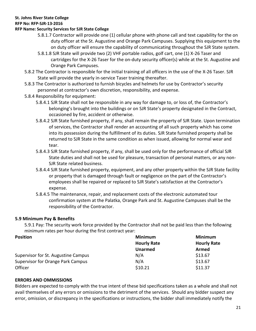#### **RFP No: RFP-SJR-13-2016**

#### **RFP Name: Security Services for SJR State College**

- 5.8.1.7 Contractor will provide one (1) cellular phone with phone call and text capability for the on duty officer at the St. Augustine and Orange Park Campuses. Supplying this equipment to the on duty officer will ensure the capability of communicating throughout the SJR State system.
- 5.8.1.8 SJR State will provide two (2) VHF portable radios, golf cart, one (1) X-26 Taser and cartridges for the X-26 Taser for the on-duty security officer(s) while at the St. Augustine and Orange Park Campuses.
- 5.8.2 The Contractor is responsible for the initial training of all officers in the use of the X-26 Taser. SJR State will provide the yearly in-service Taser training thereafter.
- 5.8.3 The Contractor is authorized to furnish bicycles and helmets for use by Contractor's security personnel at contractor's own discretion, responsibility, and expense.
- 5.8.4 Responsibility for equipment:
	- 5.8.4.1 SJR State shall not be responsible in any way for damage to, or loss of, the Contractor's belonging's brought into the buildings or on SJR State's property designated in the Contract, occasioned by fire, accident or otherwise.
	- 5.8.4.2 SJR State furnished property, if any, shall remain the property of SJR State. Upon termination of services, the Contractor shall render an accounting of all such property which has come into its possession during the fulfillment of its duties. SJR State furnished property shall be returned to SJR State in the same condition as when issued, allowing for normal wear and tear.
	- 5.8.4.3 SJR State furnished property, if any, shall be used only for the performance of official SJR State duties and shall not be used for pleasure, transaction of personal matters, or any non-SJR State related business.
	- 5.8.4.4 SJR State furnished property, equipment, and any other property within the SJR State facility or property that is damaged through fault or negligence on the part of the Contractor's employees shall be repaired or replaced to SJR State's satisfaction at the Contractor's expense.
	- 5.8.4.5 The maintenance, repair, and replacement costs of the electronic automated tour confirmation system at the Palatka, Orange Park and St. Augustine Campuses shall be the responsibility of the Contractor.

#### **5.9 Minimum Pay & Benefits**

5.9.1 Pay: The security work force provided by the Contractor shall not be paid less than the following minimum rates per hour during the first contract year:

| <b>Position</b>                          | <b>Minimum</b>     | <b>Minimum</b>     |
|------------------------------------------|--------------------|--------------------|
|                                          | <b>Hourly Rate</b> | <b>Hourly Rate</b> |
|                                          | <b>Unarmed</b>     | Armed              |
| Supervisor for St. Augustine Campus      | N/A                | \$13.67            |
| <b>Supervisor for Orange Park Campus</b> | N/A                | \$13.67            |
| Officer                                  | \$10.21            | \$11.37            |

#### **ERRORS AND OMMISSIONS**

Bidders are expected to comply with the true intent of these bid specifications taken as a whole and shall not avail themselves of any errors or omissions to the detriment of the services. Should any bidder suspect any error, omission, or discrepancy in the specifications or instructions, the bidder shall immediately notify the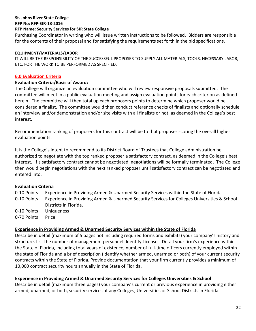**RFP No: RFP-SJR-13-2016**

#### **RFP Name: Security Services for SJR State College**

Purchasing Coordinator in writing who will issue written instructions to be followed. Bidders are responsible for the contents of their proposal and for satisfying the requirements set forth in the bid specifications.

#### **EQUIPMENT/MATERIALS/LABOR**

IT WILL BE THE RESPONSIBILITY OF THE SUCCESSFUL PROPOSER TO SUPPLY ALL MATERIALS, TOOLS, NECESSARY LABOR, ETC. FOR THE WORK TO BE PERFORMED AS SPECIFIED.

#### **6.0 Evaluation Criteria**

#### **Evaluation Criteria/Basis of Award:**

The College will organize an evaluation committee who will review responsive proposals submitted. The committee will meet in a public evaluation meeting and assign evaluation points for each criterion as defined herein. The committee will then total up each proposers points to determine which proposer would be considered a finalist. The committee would then conduct reference checks of finalists and optionally schedule an interview and/or demonstration and/or site visits with all finalists or not, as deemed in the College's best interest.

Recommendation ranking of proposers for this contract will be to that proposer scoring the overall highest evaluation points.

It is the College's intent to recommend to its District Board of Trustees that College administration be authorized to negotiate with the top ranked proposer a satisfactory contract, as deemed in the College's best interest. If a satisfactory contract cannot be negotiated, negotiations will be formally terminated. The College then would begin negotiations with the next ranked proposer until satisfactory contract can be negotiated and entered into.

#### **Evaluation Criteria**

0-10 Points Experience in Providing Armed & Unarmed Security Services within the State of Florida 0-10 Points Experience in Providing Armed & Unarmed Security Services for Colleges Universities & School Districts in Florida. 0-10 Points Uniqueness

0-70 Points Price

# **Experience in Providing Armed & Unarmed Security Services within the State of Florida**

Describe in detail (maximum of 5 pages not including required forms and exhibits) your company's history and structure. List the number of management personnel. Identify Licenses. Detail your firm's experience within the State of Florida, including total years of existence, number of full-time officers currently employed within the state of Florida and a brief description (identify whether armed, unarmed or both) of your current security contracts within the State of Florida. Provide documentation that your firm currently provides a minimum of 10,000 contract security hours annually in the State of Florida.

#### **Experience in Providing Armed & Unarmed Security Services for Colleges Universities & School**

Describe in detail (maximum three pages) your company's current or previous experience in providing either armed, unarmed, or both, security services at any Colleges, Universities or School Districts in Florida.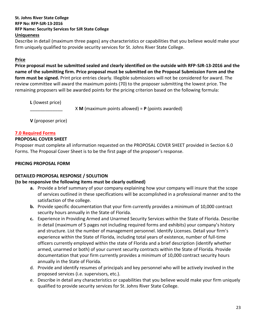Describe in detail (maximum three pages) any characteristics or capabilities that you believe would make your firm uniquely qualified to provide security services for St. Johns River State College.

#### **Price**

**Price proposal must be submitted sealed and clearly identified on the outside with RFP-SJR-13-2016 and the name of the submitting firm. Price proposal must be submitted on the Proposal Submission Form and the form must be signed.** Print price entries clearly. Illegible submissions will not be considered for award. The review committee will award the maximum points (70) to the proposer submitting the lowest price. The remaining proposers will be awarded points for the pricing criterion based on the following formula:

**L** (lowest price)

\_\_\_\_\_\_\_\_\_\_\_\_\_ X **M** (maximum points allowed) = **P** (points awarded)

**V** (proposer price)

#### **7.0 Required Forms**

#### **PROPOSAL COVER SHEET**

Proposer must complete all information requested on the PROPOSAL COVER SHEET provided in Section 6.0 Forms. The Proposal Cover Sheet is to be the first page of the proposer's response.

#### **PRICING PROPOSAL FORM**

#### **DETAILED PROPOSAL RESPONSE / SOLUTION**

#### **(to be responsive the following items must be clearly outlined)**

- **a.** Provide a brief summary of your company explaining how your company will insure that the scope of services outlined in these specifications will be accomplished in a professional manner and to the satisfaction of the college.
- **b.** Provide specific documentation that your firm currently provides a minimum of 10,000 contract security hours annually in the State of Florida.
- **c.** Experience in Providing Armed and Unarmed Security Services within the State of Florida. Describe in detail (maximum of 5 pages not including required forms and exhibits) your company's history and structure. List the number of management personnel. Identify Licenses. Detail your firm's experience within the State of Florida, including total years of existence, number of full-time officers currently employed within the state of Florida and a brief description (identify whether armed, unarmed or both) of your current security contracts within the State of Florida. Provide documentation that your firm currently provides a minimum of 10,000 contract security hours annually in the State of Florida.
- d. Provide and identify resumes of principals and key personnel who will be actively involved in the proposed services (i.e. supervisors, etc.).
- e. Describe in detail any characteristics or capabilities that you believe would make your firm uniquely qualified to provide security services for St. Johns River State College.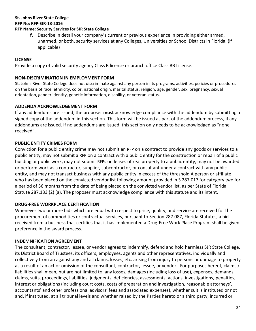# **St. Johns River State College RFP No: RFP-SJR-13-2016**

# **RFP Name: Security Services for SJR State College**

**f.** Describe in detail your company's current or previous experience in providing either armed, unarmed, or both, security services at any Colleges, Universities or School Districts in Florida. (if applicable)

# **LICENSE**

Provide a copy of valid security agency Class B license or branch office Class BB License.

# **NON-DISCRIMINATION IN EMPLOYMENT FORM**

St. Johns River State College does not discriminate against any person in its programs, activities, policies or procedures on the basis of race, ethnicity, color, national origin, marital status, religion, age, gender, sex, pregnancy, sexual orientation, gender identity, genetic information, disability, or veteran status.

# **ADDENDA ACKNOWLEDGEMENT FORM**

If any addendums are issued, the proposer **must** acknowledge compliance with the addendum by submitting a signed copy of the addendum in this section. This form will be issued as part of the addendum process, if any addendums are issued. If no addendums are issued, this section only needs to be acknowledged as "none received".

# **PUBLIC ENTITY CRIMES FORM**

Conviction for a public entity crime may not submit an RFP on a contract to provide any goods or services to a public entity, may not submit a RFP on a contract with a public entity for the construction or repair of a public building or public work, may not submit RFPs on leases of real property to a public entity, may not be awarded or perform work as a contractor, supplier, subcontractor, or consultant under a contract with any public entity, and may not transact business with any public entity in excess of the threshold A person or affiliate who has been placed on the convicted vendor list following amount provided in S.287.017 for category two for a period of 36 months from the date of being placed on the convicted vendor list, as per State of Florida Statute 287.133 (2) (a). The proposer must acknowledge compliance with this statute and its intent.

# **DRUG-FREE WORKPLACE CERTIFICATION**

Whenever two or more bids which are equal with respect to price, quality, and service are received for the procurement of commodities or contractual services, pursuant to Section 287.087, Florida Statutes, a bid received from a business that certifies that it has implemented a Drug-Free Work Place Program shall be given preference in the award process.

# **INDEMNIFICATION AGREEMENT**

The consultant, contractor, lessee, or vendor agrees to indemnify, defend and hold harmless SJR State College, its District Board of Trustees, its officers, employees, agents and other representatives, individually and collectively from an against any and all claims, losses, etc. arising from injury to persons or damage to property as a result of an act or omission of the consultant, contractor, lessee, or vendor. For purposes hereof, claims / liabilities shall mean, but are not limited to, any losses, damages (including loss of use), expenses, demands, claims, suits, proceedings, liabilities, judgments, deficiencies, assessments, actions, investigations, penalties, interest or obligations (including court costs, costs of preparation and investigation, reasonable attorneys', accountants' and other professional advisors' fees and associated expenses), whether suit is instituted or not and, if instituted, at all tribunal levels and whether raised by the Parties hereto or a third party, incurred or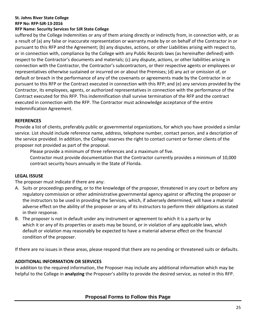**RFP No: RFP-SJR-13-2016**

#### **RFP Name: Security Services for SJR State College**

suffered by the College Indemnities or any of them arising directly or indirectly from, in connection with, or as a result of (a) any false or inaccurate representation or warranty made by or on behalf of the Contractor in or pursuant to this RFP and the Agreement; (b) any disputes, actions, or other Liabilities arising with respect to, or in connection with, compliance by the College with any Public Records laws (as hereinafter defined) with respect to the Contractor's documents and materials; (c) any dispute, actions, or other liabilities arising in connection with the Contractor, the Contractor's subcontractors, or their respective agents or employees or representatives otherwise sustained or incurred on or about the Premises; (d) any act or omission of, or default or breach in the performance of any of the covenants or agreements made by the Contractor in or pursuant to this RFP or the Contract executed in connection with this RFP; and (e) any services provided by the Contractor, its employees, agents, or authorized representatives in connection with the performance of the Contract executed for this RFP. This indemnification shall survive termination of the RFP and the contract executed in connection with the RFP. The Contractor must acknowledge acceptance of the entire Indemnification Agreement.

# **REFERENCES**

Provide a list of clients, preferably public or governmental organizations, for which you have provided a similar service. List should include reference name, address, telephone number, contact person, and a description of the service provided. In addition, the College reserves the right to contact current or former clients of the proposer not provided as part of the proposal.

Please provide a minimum of three references and a maximum of five.

Contractor must provide documentation that the Contractor currently provides a minimum of 10,000 contract security hours annually in the State of Florida.

# **LEGAL ISSUSE**

The proposer must indicate if there are any:

- A. Suits or proceedings pending, or to the knowledge of the proposer, threatened in any court or before any regulatory commission or other administrative governmental agency against or affecting the proposer or the instructors to be used in providing the Services, which, if adversely determined, will have a material adverse effect on the ability of the proposer or any of its instructors to perform their obligations as stated in their response.
- B. The proposer is not in default under any instrument or agreement to which it is a party or by which it or any of its properties or assets may be bound, or in violation of any applicable laws, which default or violation may reasonably be expected to have a material adverse effect on the financial condition of the proposer.

If there are no issues in these areas, please respond that there are no pending or threatened suits or defaults.

# **ADDITIONAL INFORMATION OR SERVICES**

In addition to the required information, the Proposer may include any additional information which may be helpful to the College in **analyzing** the Proposer's ability to provide the desired service, as noted in this RFP.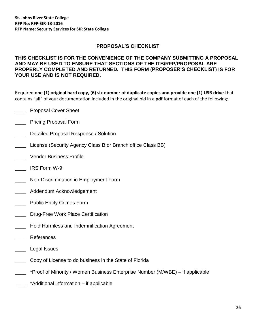#### **PROPOSAL'S CHECKLIST**

#### **THIS CHECKLIST IS FOR THE CONVENIENCE OF THE COMPANY SUBMITTING A PROPOSAL AND MAY BE USED TO ENSURE THAT SECTIONS OF THE ITB/RFP/PROPOSAL ARE PROPERLY COMPLETED AND RETURNED. THIS FORM (PROPOSER'S CHECKLIST) IS FOR YOUR USE AND IS NOT REQUIRED.**

Required **one (1) original hard copy, (6) six number of duplicate copies and provide one (1) USB drive** that contains "all" of your documentation included in the original bid in a **pdf** format of each of the following:

- \_\_\_\_ Proposal Cover Sheet
- \_\_\_\_ Pricing Proposal Form
- \_\_\_\_ Detailed Proposal Response / Solution
- \_\_\_\_ License (Security Agency Class B or Branch office Class BB)
- \_\_\_\_ Vendor Business Profile
- \_\_\_\_ IRS Form W-9
- \_\_\_\_ Non-Discrimination in Employment Form
- **Example 20 Addendum Acknowledgement**
- \_\_\_\_ Public Entity Crimes Form
- \_\_\_\_ Drug-Free Work Place Certification
- \_\_\_\_ Hold Harmless and Indemnification Agreement
- **References**
- \_\_\_\_ Legal Issues
- \_\_\_\_ Copy of License to do business in the State of Florida
- \_\_\_\_ \*Proof of Minority / Women Business Enterprise Number (M/WBE) if applicable
- \_\_\_\_ \*Additional information if applicable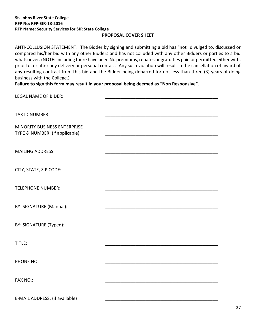#### **PROPOSAL COVER SHEET**

ANTI-COLLUSION STATEMENT: The Bidder by signing and submitting a bid has "not" divulged to, discussed or compared his/her bid with any other Bidders and has not colluded with any other Bidders or parties to a bid whatsoever. (NOTE: Including there have been No premiums, rebates or gratuities paid or permitted either with, prior to, or after any delivery or personal contact. Any such violation will result in the cancellation of award of any resulting contract from this bid and the Bidder being debarred for not less than three (3) years of doing business with the College.)

**Failure to sign this form may result in your proposal being deemed as "Non Responsive**".

| <b>LEGAL NAME OF BIDER:</b>                                     |  |
|-----------------------------------------------------------------|--|
|                                                                 |  |
| TAX ID NUMBER:                                                  |  |
| MINORITY BUSINESS ENTERPRISE<br>TYPE & NUMBER: (if applicable): |  |
|                                                                 |  |
| <b>MAILING ADDRESS:</b>                                         |  |
| CITY, STATE, ZIP CODE:                                          |  |
|                                                                 |  |
| <b>TELEPHONE NUMBER:</b>                                        |  |
| BY: SIGNATURE (Manual):                                         |  |
| BY: SIGNATURE (Typed):                                          |  |
|                                                                 |  |
| TITLE:                                                          |  |
| PHONE NO:                                                       |  |
|                                                                 |  |
| FAX NO.:                                                        |  |
| E-MAIL ADDRESS: (if available)                                  |  |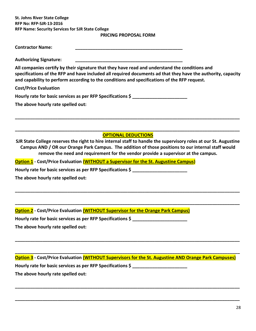**PRICING PROPOSAL FORM**

| <b>Contractor Name:</b>                                                                                                                                                                                                                                                                                        |  |
|----------------------------------------------------------------------------------------------------------------------------------------------------------------------------------------------------------------------------------------------------------------------------------------------------------------|--|
| <b>Authorizing Signature:</b>                                                                                                                                                                                                                                                                                  |  |
| All companies certify by their signature that they have read and understand the conditions and<br>specifications of the RFP and have included all required documents ad that they have the authority, capacity<br>and capability to perform according to the conditions and specifications of the RFP request. |  |
| <b>Cost/Price Evaluation</b>                                                                                                                                                                                                                                                                                   |  |
| Hourly rate for basic services as per RFP Specifications \$                                                                                                                                                                                                                                                    |  |
| The above hourly rate spelled out:                                                                                                                                                                                                                                                                             |  |

**\_\_\_\_\_\_\_\_\_\_\_\_\_\_\_\_\_\_\_\_\_\_\_\_\_\_\_\_\_\_\_\_\_\_\_\_\_\_\_\_\_\_\_\_\_\_\_\_\_\_\_\_\_\_\_\_\_\_\_\_\_\_\_\_\_\_\_\_\_\_\_\_\_\_\_\_\_\_\_\_\_\_\_\_\_\_\_\_\_\_ OPTIONAL DEDUCTIONS**

**\_\_\_\_\_\_\_\_\_\_\_\_\_\_\_\_\_\_\_\_\_\_\_\_\_\_\_\_\_\_\_\_\_\_\_\_\_\_\_\_\_\_\_\_\_\_\_\_\_\_\_\_\_\_\_\_\_\_\_\_\_\_\_\_\_\_\_\_\_\_\_\_\_\_\_\_\_\_\_\_\_\_\_\_\_\_\_\_\_\_**

**SJR State College reserves the right to hire internal staff to handle the supervisory roles at our St. Augustine Campus AND / OR our Orange Park Campus. The addition of those positions to our internal staff would remove the need and requirement for the vendor provide a supervisor at the campus.**

**\_\_\_\_\_\_\_\_\_\_\_\_\_\_\_\_\_\_\_\_\_\_\_\_\_\_\_\_\_\_\_\_\_\_\_\_\_\_\_\_\_\_\_\_\_\_\_\_\_\_\_\_\_\_\_\_\_\_\_\_\_\_\_\_\_\_\_\_\_\_\_\_\_\_\_\_\_\_\_\_\_\_\_\_\_\_\_\_\_\_**

**\_\_\_\_\_\_\_\_\_\_\_\_\_\_\_\_\_\_\_\_\_\_\_\_\_\_\_\_\_\_\_\_\_\_\_\_\_\_\_\_\_\_\_\_\_\_\_\_\_\_\_\_\_\_\_\_\_\_\_\_\_\_\_\_\_\_\_\_\_\_\_\_\_\_\_\_\_\_\_\_\_\_\_\_\_\_\_\_\_\_**

**Option 1 - Cost/Price Evaluation (WITHOUT a Supervisor for the St. Augustine Campus)**

**Hourly rate for basic services as per RFP Specifications \$ \_\_\_\_\_\_\_\_\_\_\_\_\_\_\_\_\_\_\_\_\_\_**

**The above hourly rate spelled out:** 

**Option 2 - Cost/Price Evaluation (WITHOUT Supervisor for the Orange Park Campus)**

**Hourly rate for basic services as per RFP Specifications \$ \_\_\_\_\_\_\_\_\_\_\_\_\_\_\_\_\_\_\_\_\_\_**

**The above hourly rate spelled out:** 

**Option 3 - Cost/Price Evaluation (WITHOUT Supervisors for the St. Augustine AND Orange Park Campuses) Hourly rate for basic services as per RFP Specifications \$ \_\_\_\_\_\_\_\_\_\_\_\_\_\_\_\_\_\_\_\_\_\_ The above hourly rate spelled out:**

**\_\_\_\_\_\_\_\_\_\_\_\_\_\_\_\_\_\_\_\_\_\_\_\_\_\_\_\_\_\_\_\_\_\_\_\_\_\_\_\_\_\_\_\_\_\_\_\_\_\_\_\_\_\_\_\_\_\_\_\_\_\_\_\_\_\_\_\_\_\_\_\_\_\_\_\_\_\_\_\_\_\_\_\_\_\_\_\_\_\_**

**\_\_\_\_\_\_\_\_\_\_\_\_\_\_\_\_\_\_\_\_\_\_\_\_\_\_\_\_\_\_\_\_\_\_\_\_\_\_\_\_\_\_\_\_\_\_\_\_\_\_\_\_\_\_\_\_\_\_\_\_\_\_\_\_\_\_\_\_\_\_\_\_\_\_\_\_\_\_\_\_\_\_\_\_\_\_\_\_\_\_**

**\_\_\_\_\_\_\_\_\_\_\_\_\_\_\_\_\_\_\_\_\_\_\_\_\_\_\_\_\_\_\_\_\_\_\_\_\_\_\_\_\_\_\_\_\_\_\_\_\_\_\_\_\_\_\_\_\_\_\_\_\_\_\_\_\_\_\_\_\_\_\_\_\_\_\_\_\_\_\_\_\_\_\_\_\_\_\_\_\_\_**

**\_\_\_\_\_\_\_\_\_\_\_\_\_\_\_\_\_\_\_\_\_\_\_\_\_\_\_\_\_\_\_\_\_\_\_\_\_\_\_\_\_\_\_\_\_\_\_\_\_\_\_\_\_\_\_\_\_\_\_\_\_\_\_\_\_\_\_\_\_\_\_\_\_\_\_\_\_\_\_\_\_\_\_\_\_\_\_\_\_\_**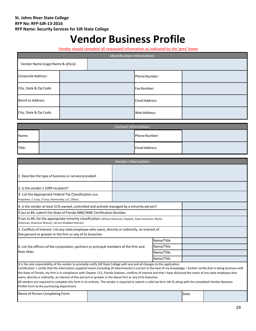# **Vendor Business Profile**

Vendor should complete all requested information as indicated by the 'grey' boxes

| Identification Information: |                                   |  |                |  |  |  |
|-----------------------------|-----------------------------------|--|----------------|--|--|--|
|                             | Vendor Name (Legal Name & d/b/a): |  |                |  |  |  |
| Corporate Address:          |                                   |  | Phone Number:  |  |  |  |
| City, State & Zip Code:     |                                   |  | Fax Number:    |  |  |  |
| Remit to Address:           |                                   |  | Email Address: |  |  |  |
| City, State & Zip Code:     |                                   |  | Web Address:   |  |  |  |

| <b>Contact Information:</b> |  |                |  |  |
|-----------------------------|--|----------------|--|--|
| Name:                       |  | Phone Number:  |  |  |
| Title:                      |  | Email Address: |  |  |

| <b>Vendor Information:</b>                                                                                                                                                                                                                                                                                     |  |            |  |  |
|----------------------------------------------------------------------------------------------------------------------------------------------------------------------------------------------------------------------------------------------------------------------------------------------------------------|--|------------|--|--|
|                                                                                                                                                                                                                                                                                                                |  |            |  |  |
| 1. Describe the type of business or service provided:                                                                                                                                                                                                                                                          |  |            |  |  |
| 2. Is the vendor a 1099 recipient?                                                                                                                                                                                                                                                                             |  |            |  |  |
| 3. List the Appropriate Federal Tax Classification (Sole<br>Proprietor, C-Corp, S-Corp, Partnership, LLC, Other)                                                                                                                                                                                               |  |            |  |  |
| 4. Is the vendor at least 51% owned, controlled and actively managed by a minority person?                                                                                                                                                                                                                     |  |            |  |  |
| If yes to #4, submit the State of Florida MBE/WBE Certification Number                                                                                                                                                                                                                                         |  |            |  |  |
| If yes to #4, list the appropriate minority classification: (African American, Hispanic, Asian American, Native<br>American, American Woman, Service Disabled Veteran)                                                                                                                                         |  |            |  |  |
| 5. Conflicts of Interest: List any state employee who owns, directly or indirectly, an interest of<br>five percent or greater in the firm or any of its branches                                                                                                                                               |  |            |  |  |
|                                                                                                                                                                                                                                                                                                                |  | Name/Title |  |  |
| 6. List the officers of the corporation, partners or principal members of the firm and                                                                                                                                                                                                                         |  | Name/Title |  |  |
| their titles                                                                                                                                                                                                                                                                                                   |  | Name/Title |  |  |
|                                                                                                                                                                                                                                                                                                                |  | Name/Title |  |  |
| It is the sole responsibility of the vendor to promptly notify SJR State College with any and all changes to this application.<br>Contification Logatify that the information cumplied homin lingualize all attachmented is convert to the heat of my lmouledge. I further contify that in doing business with |  |            |  |  |

Certification: I certify that the information supplied herein (including all attachments) is correct to the best of my knowledge. I further certify that in doing business with the State of Florida, my firm is in compliance with Chapter 112, Florida Statutes, conflicts of interest and that I have disclosed the name of any state employee who owns, directly or indirectly, an interest of five percent or greater in the above firm or any of its branches.

| All vendors are required to complete this form in its entirety. The vendor is required to submit a valid tax form (W-9) along with the completed Vendor Business |
|------------------------------------------------------------------------------------------------------------------------------------------------------------------|
| Profile Form to the purchasing department.                                                                                                                       |

Name of Person Completing Form: Date: Date: Date: Date: Date: Date: Date: Date: Date: Date: Date: Date: Date: D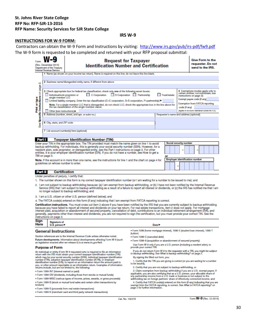**IRS W-9**

#### **INSTRUCTIONS FOR W-9 FORM:**

Contractors can obtain the W-9 Form and Instructions by visiting: <http://www.irs.gov/pub/irs-pdf/fw9.pdf> The W-9 form is requested to be completed and returned with your RFP proposal submittal:

| Form                  | (Rev. December 2014)<br>Department of the Treasury<br><b>Internal Revenue Service</b>                                | <b>Request for Taxpayer</b><br><b>Identification Number and Certification</b>                                                                                                                                                                                                                                                                                                                                                            |              | <b>Give Form to the</b><br>requester. Do not<br>send to the IRS.                                        |  |
|-----------------------|----------------------------------------------------------------------------------------------------------------------|------------------------------------------------------------------------------------------------------------------------------------------------------------------------------------------------------------------------------------------------------------------------------------------------------------------------------------------------------------------------------------------------------------------------------------------|--------------|---------------------------------------------------------------------------------------------------------|--|
|                       |                                                                                                                      | 1 Name (as shown on your income tax return). Name is required on this line; do not leave this line blank.                                                                                                                                                                                                                                                                                                                                |              |                                                                                                         |  |
|                       |                                                                                                                      | 2 Business name/disregarded entity name, if different from above                                                                                                                                                                                                                                                                                                                                                                         |              |                                                                                                         |  |
| on page 2.            | Individual/sole proprietor or<br>single-member LLC                                                                   | 3 Check appropriate box for federal tax classification; check only one of the following seven boxes:<br>S Corporation Partnership<br>C Corporation                                                                                                                                                                                                                                                                                       | Trust/estate | 4 Exemptions (codes apply only to<br>certain entities, not individuals; see<br>instructions on page 3): |  |
| ed4,10                |                                                                                                                      | Limited liability company. Enter the tax classification (C=C corporation, S=S corporation, P=partnership) ▶                                                                                                                                                                                                                                                                                                                              |              | Exempt payee code (if any)                                                                              |  |
|                       | Note. For a single-member LLC that is disregarded, do not check LLC; check the appropriate box in the line above for |                                                                                                                                                                                                                                                                                                                                                                                                                                          |              | <b>Exemption from FATCA reporting</b>                                                                   |  |
| Ĕ                     |                                                                                                                      | the tax classification of the single-member owner.                                                                                                                                                                                                                                                                                                                                                                                       |              | code (if any)<br>(Applies to accounts maintained outside the U.S.)                                      |  |
|                       | Other (see instructions) >                                                                                           | 5 Address (number, street, and apt. or suite no.)                                                                                                                                                                                                                                                                                                                                                                                        |              | Requester's name and address (optional)                                                                 |  |
| Specific Instructions |                                                                                                                      |                                                                                                                                                                                                                                                                                                                                                                                                                                          |              |                                                                                                         |  |
|                       | 6 City, state, and ZIP code                                                                                          |                                                                                                                                                                                                                                                                                                                                                                                                                                          |              |                                                                                                         |  |
| See                   |                                                                                                                      |                                                                                                                                                                                                                                                                                                                                                                                                                                          |              |                                                                                                         |  |
|                       |                                                                                                                      | 7 List account number(s) here (optional)                                                                                                                                                                                                                                                                                                                                                                                                 |              |                                                                                                         |  |
|                       |                                                                                                                      |                                                                                                                                                                                                                                                                                                                                                                                                                                          |              |                                                                                                         |  |
| <b>Part I</b>         |                                                                                                                      | <b>Taxpayer Identification Number (TIN)</b>                                                                                                                                                                                                                                                                                                                                                                                              |              |                                                                                                         |  |
|                       | TIN on page 3.                                                                                                       | Enter your TIN in the appropriate box. The TIN provided must match the name given on line 1 to avoid<br>backup withholding. For individuals, this is generally your social security number (SSN). However, for a<br>resident alien, sole proprietor, or disregarded entity, see the Part I instructions on page 3. For other<br>entities, it is your employer identification number (EIN). If you do not have a number, see How to get a | or           | Social security number<br>-                                                                             |  |
|                       |                                                                                                                      | Note. If the account is in more than one name, can the instructions for line 4 and the chart on name 4 for                                                                                                                                                                                                                                                                                                                               |              | <b>Employer identification number</b>                                                                   |  |

Note, If the account is in more than one name, see the instructions for line 1 and the chart on page 4 for guidelines on whose number to enter.

#### Certification **Part II**

Under penalties of perjury, I certify that:

- 1. The number shown on this form is my correct taxpayer identification number (or I am waiting for a number to be issued to me); and
- 2. I am not subject to backup withholding because: (a) I am exempt from backup withholding, or (b) I have not been notified by the Internal Revenue Service (IRS) that I am subject to backup withholding as a result of a failure to report all interest or dividends, or (c) the IRS has notified me that I am no longer subject to backup withholding; and
- 3. I am a U.S. citizen or other U.S. person (defined below); and

4. The FATCA code(s) entered on this form (if any) indicating that I am exempt from FATCA reporting is correct.

Certification instructions. You must cross out item 2 above if you have been notified by the IRS that you are currently subject to backup withholding because you have failed to report all interest and dividends on your tax return. For real estate transactions, item 2 does not apply. For mortgage<br>interest paid, acquisition or abandonment of secured property, cancellation generally, payments other than interest and dividends, you are not required to sign the certification, but you must provide your correct TIN. See the instructions on page 3.

| Sign<br>Signature of<br>Here<br>U.S. person P |  |
|-----------------------------------------------|--|
|-----------------------------------------------|--|

#### **General Instructions**

Section references are to the Internal Revenue Code unless otherwise noted. Future developments. Information about developments affecting Form W-9 (such as legislation enacted after we release it) is at www.irs.gov/fw9.

#### **Purpose of Form**

For individual or entity (Form W-9 requester) who is required to file an information<br>An individual or entity (Form W-9 requester) who is required to file an information<br>return with the IRS must obtain your correct taxpayer you, or other amount reportable on an information return. Examples of information returns include, but are not limited to, the following:

- · Form 1099-INT (interest earned or paid)
- . Form 1099-DIV (dividends, including those from stocks or mutual funds)
- . Form 1099-MISC (various types of income, prizes, awards, or gross proceeds)
- . Form 1099-B (stock or mutual fund sales and certain other transactions by brokers)
- . Form 1099-S (proceeds from real estate transactions)
- . Form 1099-K (merchant card and third party network transactions)
- Date >
- · Form 1098 (home mortgage interest), 1098-E (student loan interest), 1098-T (tuition)
- · Form 1099-C (canceled debt)
- . Form 1099-A (acquisition or abandonment of secured property)
- Use Form W-9 only if you are a U.S. person (including a resident alien), to provide your correct TIN.
- If you do not return Form W-9 to the requester with a TIN, you might be subject to backup withholding. See What is backup withholding? on page 2. By signing the filled-out form, you:
- 1. Certify that the TIN you are giving is correct (or you are waiting for a number to be issued).
- 2. Certify that you are not subject to backup withholding, or
- $3$ . Claim exemption from backup withholding if you are a U.S. exempt payee. If applicable, you are also certifying that as a U.S. person, your allocable share of any partnership income from a U.S. trade or business is no
- 4. Certify that FATCA code(s) entered on this form (if any) indicating that you are exempt from the FATCA reporting, is correct. See What is FATCA reporting? on page 2 for further information.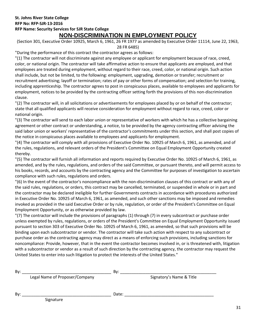#### **St. Johns River State College RFP No: RFP-SJR-13-2016 RFP Name: Security Services for SJR State College NON-DISCRIMINATION IN EMPLOYMENT POLICY**

(Section 301, Executive Order 10925, March 6, 1961, 26 FR 1977 as amended by Executive Order 11114, June 22, 1963, 28 FR 6485)

"During the performance of this contract the contractor agrees as follows:

"(1) The contractor will not discriminate against any employee or applicant for employment because of race, creed, color, or national origin. The contractor will take affirmative action to ensure that applicants are employed, and that employees are treated during employment, without regard to their race, creed, color, or national origin. Such action shall include, but not be limited, to the following: employment, upgrading, demotion or transfer; recruitment or recruitment advertising; layoff or termination; rates of pay or other forms of compensation; and selection for training, including apprenticeship. The contractor agrees to post in conspicuous places, available to employees and applicants for employment, notices to be provided by the contracting officer setting forth the provisions of this non-discrimination clause.

"(2) The contractor will, in all solicitations or advertisements for employees placed by or on behalf of the contractor; state that all qualified applicants will receive consideration for employment without regard to race, creed, color or national origin.

"(3) The contractor will send to each labor union or representative of workers with which he has a collective bargaining agreement or other contract or understanding, a notice, to be provided by the agency contracting officer advising the said labor union or workers' representative of the contractor's commitments under this section, and shall post copies of the notice in conspicuous places available to employees and applicants for employment.

"(4) The contractor will comply with all provisions of Executive Order No. 10925 of March 6, 1961, as amended, and of the rules, regulations, and relevant orders of the President's Committee on Equal Employment Opportunity created thereby.

"(5) The contractor will furnish all information and reports required by Executive Order No. 10925 of March 6, 1961, as amended, and by the rules, regulations, and orders of the said Committee, or pursuant thereto, and will permit access to his books, records, and accounts by the contracting agency and the Committee for purposes of investigation to ascertain compliance with such rules, regulations and orders.

"(6) In the event of the contractor's noncompliance with the non-discrimination clauses of this contract or with any of the said rules, regulations, or orders, this contract may be cancelled, terminated, or suspended in whole or in part and the contractor may be declared ineligible for further Governments contracts in accordance with procedures authorized in Executive Order No. 10925 of March 6, 1961, as amended, and such other sanctions may be imposed and remedies invoked as provided in the said Executive Order or by rule, regulation, or order of the President's Committee on Equal Employment Opportunity, or as otherwise provided by law.

"(7) The contractor will include the provisions of paragraphs (1) through (7) in every subcontract or purchase order unless exempted by rules, regulations, or orders of the President's Committee on Equal Employment Opportunity issued pursuant to section 303 of Executive Order No. 10925 of March 6, 1961, as amended, so that such provisions will be binding upon each subcontractor or vendor. The contractor will take such action with respect to any subcontract or purchase order as the contracting agency may direct as a means of enforcing such provisions, including sanctions for noncompliance: Provide, however, that in the event the contractor becomes involved in, or is threatened with, litigation with a subcontractor or vendor as a result of such direction by the contracting agency, the contractor may request the United States to enter into such litigation to protect the interests of the United States."

By: \_\_\_\_\_\_\_\_\_\_\_\_\_\_\_\_\_\_\_\_\_\_\_\_\_\_\_\_\_\_\_\_\_\_\_\_\_\_\_ By: \_\_\_\_\_\_\_\_\_\_\_\_\_\_\_\_\_\_\_\_\_\_\_\_\_\_\_\_\_\_\_\_\_\_\_\_\_\_\_\_\_\_

Legal Name of Proposer/Company Signatory's Name & Title

By: \_\_\_\_\_\_\_\_\_\_\_\_\_\_\_\_\_\_\_\_\_\_\_\_\_\_\_\_\_\_\_\_\_\_\_\_\_\_\_ Date: \_\_\_\_\_\_\_\_\_\_\_\_\_\_\_\_\_\_\_\_\_\_\_\_\_\_\_\_\_\_\_\_\_\_\_\_\_\_\_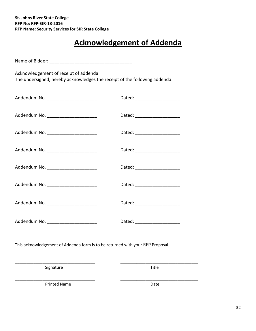# **Acknowledgement of Addenda**

Name of Bidder: \_\_\_\_\_\_\_\_\_\_\_\_\_\_\_\_\_\_\_\_\_\_\_\_\_\_\_\_\_\_\_\_\_

Acknowledgement of receipt of addenda:

The undersigned, hereby acknowledges the receipt of the following addenda:

| Addendum No. _______________________   | Dated: ______________________  |
|----------------------------------------|--------------------------------|
| Addendum No. _________________________ | Dated: _______________________ |
| Addendum No. _______________________   | Dated: ______________________  |
| Addendum No. _________________________ | Dated: ______________________  |
| Addendum No. _________________________ | Dated: _______________________ |
| Addendum No. _____________________     | Dated: ______________________  |
| Addendum No. _____________________     | Dated: ______________________  |
| Addendum No. ________________________  | Dated: _______________________ |

This acknowledgement of Addenda form is to be returned with your RFP Proposal.

\_\_\_\_\_\_\_\_\_\_\_\_\_\_\_\_\_\_\_\_\_\_\_\_\_\_\_\_\_\_\_\_\_\_\_ \_\_\_\_\_\_\_\_\_\_\_\_\_\_\_\_\_\_\_\_\_\_\_\_\_\_\_\_\_\_\_\_\_\_

Signature Title

\_\_\_\_\_\_\_\_\_\_\_\_\_\_\_\_\_\_\_\_\_\_\_\_\_\_\_\_\_\_\_\_\_\_\_ \_\_\_\_\_\_\_\_\_\_\_\_\_\_\_\_\_\_\_\_\_\_\_\_\_\_\_\_\_\_\_\_\_\_ Printed Name Date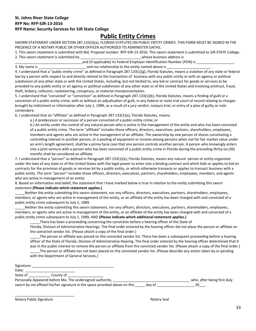# **Public Entity Crimes**

SWORN STATEMENT UNDER SECTION 287.133(3)(a), FLORIDA STATUTES ON PUBLIC ENTITY CRIMES. THIS FORM MUST BE SIGNED IN THE PRESENCE OF A NOTARY PUBLIC OR OTHER OFFICER AUTHORIZED TO ADMINISTER OATHS.

1. This sworn statement is submitted with Bid, Proposal number: RFP-SJR-13-2016. This sworn statement is submitted to SJR STATE College. 2. This sworn statement is submitted by \_\_\_\_\_\_\_\_\_\_\_\_\_\_\_\_\_\_\_\_\_\_\_\_\_\_\_\_\_\_\_whose business address is

\_\_\_\_\_\_\_\_\_\_\_\_\_\_\_\_\_\_\_\_\_\_\_\_\_\_\_\_\_\_\_\_\_\_and (if applicable) its Federal Employer Identification Number (FEIN) is \_\_\_\_\_\_\_\_\_\_\_\_\_\_\_\_\_\_\_. 3. My name is \_\_\_\_\_\_\_\_\_\_\_\_\_\_\_\_\_\_\_\_\_\_\_\_\_\_\_\_\_\_\_ and my relationship to the entity named above is \_\_\_\_\_\_\_\_\_\_\_\_\_\_\_\_\_\_\_\_\_\_\_\_\_\_\_\_\_.

4. I understand that a "public entity crime" as defined in Paragraph 287.133(1)(g), Florida Statutes, means a violation of any state or federal law by a person with respect to and directly related to the transaction of business with any public entity or with an agency or political subdivision of any other state or with the United States, including, but not limited to, any bid or contract for goods or services to be provided to any public entity or an agency or political subdivision of any other state or of the United States and involving antitrust, fraud, theft, bribery, collusion, racketeering, conspiracy, or material misrepresentation.

5. I understand that "convicted" or "conviction" as defined in Paragraph 287.133(1)(b), Florida Statutes, means a finding of guilt or a conviction of a public entity crime, with or without an adjudication of guilt, in any federal or state trial court of record relating to charges brought by indictment or information after July 1, 1989, as a result of a jury verdict, nonjury trial, or entry of a plea of guilty or nolo contendere.

6. I understand that an "affiliate" as defined in Paragraph 287.133(1)(a), Florida Statutes, means:

a.) A predecessor or successor of a person convicted of a public entity crime; or

b.) An entity under the control of any natural person who is active in the management of the entity and who has been convicted of a public entity crime. The term "affiliate" includes those officers, directors, executives, partners, shareholders, employees, members and agents who are active in the management of an affiliate. The ownership by one person of shares constituting a controlling interest in another person, or a pooling of equipment or income among persons when not for fair market value under an arm's length agreement, shall be a prima facie case that one person controls another person. A person who knowingly enters into a joint venture with a person who has been convicted of a public entity crime in Florida during the preceding thirty-six (36) months shall be considered an affiliate.

7. I understand that a "person" as defined in Paragraph 287.133(1)(e), Florida Statutes, means any natural person or entity organized under the laws of any state or of the United States with the legal power to enter into a binding contract and which bids or applies to bid on contracts for the provision of goods or services let by a public entity, or which otherwise transacts or applies to transact business with a public entity. The term "person" includes those officers, directors, executives, partners, shareholders, employees, members, and agents who are active in management of an entity.

8. Based on information and belief, the statement that I have marked below is true in relation to the entity submitting this sworn statement.**(Please indicate which statement applies.)**

\_\_\_\_\_Neither the entity submitting this sworn statement, nor any officers, directors, executives, partners, shareholders, employees, members, or agents who are active in management of the entity, or an affiliate of the entity has been charged with and convicted of a public entity crime subsequent to July 1, 1989.

Neither the entity submitting this sworn statement, nor any officers, directors, executives, partners, shareholders, employees, members, or agents who are active in management of the entity, or an affiliate of the entity has been charged with and convicted of a public entity crime subsequent to July 1, 1989, AND **(Please indicate which additional statement applies.)**

There has been a proceeding concerning the conviction before a hearing officer of the State of

Florida, Division of Administrative Hearings. The final order entered by the hearing officer did not place the person or affiliate on the convicted vendor list. (Please attach a copy of the final order.)

The person or affiliate was placed on the convicted vendor list. There has been a subsequent proceeding before a hearing officer of the State of Florida, Division of Administrative Hearing. The final order entered by the hearing officer determined that it was in the public interest to remove the person or affiliate from the convicted vendor list. (Please attach a copy of the final order.)

The person or affiliate has not been placed on the convicted vendor list. (Please describe any action taken by or pending with the Department of General Services.)

| Signature: |                        |                    | _______ |  |  |
|------------|------------------------|--------------------|---------|--|--|
| Date       | ________               |                    |         |  |  |
| State<br>◡ | county<br>O.<br>______ | ________<br>______ |         |  |  |

Personally Appeared before Me, The undersigned authority, the same of the same who, after being first duly

| <b>I crootially Appeared before tyle, The andersigned additionty,</b>     |        | wild, and being mot dary |
|---------------------------------------------------------------------------|--------|--------------------------|
| sworn by me affixed his/her signature in the space provided above on this | day of |                          |

Notary Public Signature Notary Seal

\_\_\_\_\_\_\_\_\_\_\_\_\_\_\_\_\_\_\_\_\_\_\_\_\_\_\_\_\_\_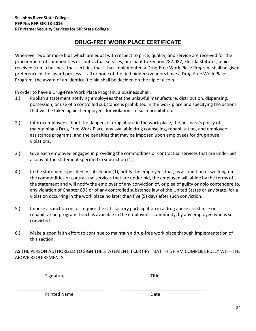# **DRUG-FREE WORK PLACE CERTIFICATE**

Whenever two or more bids which are equal with respect to price, quality, and service are received for the procurement of commodities or contractual services, pursuant to Section 287.087, Florida Statutes, a bid received from a business that certifies that it has implemented a Drug-Free Work Place Program shall be given preference in the award process. If all or none of the tied bidders/vendors have a Drug-Free Work Place Program, the award of an identical tie bid shall be decided on the flip of a coin.

In order to have a Drug-Free Work Place Program, a business shall:

- 1.) Publish a statement notifying employees that the unlawful manufacture, distribution, dispensing, possession, or use of a controlled substance is prohibited in the work place and specifying the actions that will be taken against employees for violations of such prohibition.
- 2.) Inform employees about the dangers of drug abuse in the work place, the business's policy of maintaining a Drug-Free Work Place, any available drug counseling, rehabilitation, and employee assistance programs, and the penalties that may be imposed upon employees for drug abuse violations.
- 3.) Give each employee engaged in providing the commodities or contractual services that are under bid a copy of the statement specified in subsection (1).
- 4.) In the statement specified in subsection (1), notify the employees that, as a condition of working on the commodities or contractual services that are under bid, the employee will abide by the terms of the statement and will notify the employer of any conviction of, or plea of guilty or nolo contendere to, any violation of Chapter 893 or of any controlled substance law of the United States or any state, for a violation occurring in the work place no later than five (5) days after such conviction.
- 5.) Impose a sanction on, or require the satisfactory participation in a drug abuse assistance or rehabilitation program if such is available in the employee's community, by any employee who is so convicted.
- 6.) Make a good faith effort to continue to maintain a drug-free work place through implementation of this section.

AS THE PERSON AUTHORIZED TO SIGN THE STATEMENT, I CERTIFY THAT THIS FIRM COMPLIES FULLY WITH THE ABOVE REQUIREMENTS.

\_\_\_\_\_\_\_\_\_\_\_\_\_\_\_\_\_\_\_\_\_\_\_\_\_\_\_\_\_\_\_\_\_\_\_ \_\_\_\_\_\_\_\_\_\_\_\_\_\_\_\_\_\_\_\_\_\_\_\_\_\_\_\_\_\_\_\_\_\_

\_\_\_\_\_\_\_\_\_\_\_\_\_\_\_\_\_\_\_\_\_\_\_\_\_\_\_\_\_\_\_\_\_\_\_ \_\_\_\_\_\_\_\_\_\_\_\_\_\_\_\_\_\_\_\_\_\_\_\_\_\_\_\_\_\_\_\_\_\_

Signature Title

Printed Name Date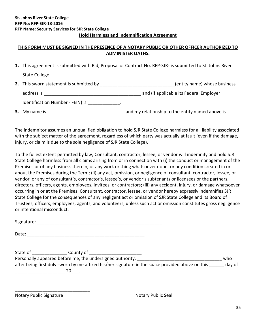#### **THIS FORM MUST BE SIGNED IN THE PRESENCE OF A NOTARY PUBLIC OR OTHER OFFICER AUTHORIZED TO ADMINISTER OATHS.**

- **1.** This agreement is submitted with Bid, Proposal or Contract No. RFP-SJR- is submitted to St. Johns River State College.
- 2. This sworn statement is submitted by \_\_\_\_\_\_\_\_\_\_\_\_\_\_\_\_\_\_\_\_\_\_\_\_\_\_\_\_\_\_\_(entity name) whose business address is \_\_\_\_\_\_\_\_\_\_\_\_\_\_\_\_\_\_\_\_\_\_\_\_\_\_\_\_\_\_\_\_\_\_\_\_\_\_\_ and (if applicable its Federal Employer

Identification Number - FEIN) is \_\_\_\_\_\_\_\_\_\_\_\_\_\_.

\_\_\_\_\_\_\_\_\_\_\_\_\_\_\_\_\_\_\_\_\_\_\_\_\_\_\_\_\_.

**3.** My name is \_\_\_\_\_\_\_\_\_\_\_\_\_\_\_\_\_\_\_\_\_\_\_\_\_\_\_\_\_\_\_ and my relationship to the entity named above is

The indemnitor assumes an unqualified obligation to hold SJR State College harmless for all liability associated with the subject matter of the agreement, regardless of which party was actually at fault (even if the damage, injury, or claim is due to the sole negligence of SJR State College).

To the fullest extent permitted by law, Consultant, contractor, lessee, or vendor will indemnify and hold SJR State College harmless from all claims arising from or in connection with (i) the conduct or management of the Premises or of any business therein, or any work or thing whatsoever done, or any condition created in or about the Premises during the Term; (ii) any act, omission, or negligence of consultant, contractor, lessee, or vendor or any of consultant's, contractor's, lessee's, or vendor's subtenants or licensees or the partners, directors, officers, agents, employees, invitees, or contractors; (iii) any accident, injury, or damage whatsoever occurring in or at the Premises. Consultant, contractor, lessee, or vendor hereby expressly indemnifies SJR State College for the consequences of any negligent act or omission of SJR State College and its Board of Trustees, officers, employees, agents, and volunteers, unless such act or omission constitutes gross negligence or intentional misconduct.

Signature: \_\_\_\_\_\_\_\_\_\_\_\_\_\_\_\_\_\_\_\_\_\_\_\_\_\_\_\_\_\_\_\_\_\_\_\_\_\_\_\_\_\_\_\_\_\_\_\_\_\_

Date: \_\_\_\_\_\_\_\_\_\_\_\_\_\_\_\_\_\_\_\_\_\_\_\_\_\_\_\_\_\_\_\_\_\_\_\_\_\_\_\_\_\_\_\_\_\_\_

State of \_\_\_\_\_\_\_\_\_\_\_\_\_\_ County of \_\_\_\_\_\_\_\_\_\_\_\_\_\_\_\_\_\_\_\_\_ Personally appeared before me, the undersigned authority, \_\_\_\_\_\_\_\_\_\_\_\_\_\_\_\_\_\_\_\_\_\_ after being first duly sworn by me affixed his/her signature in the space provided above on this day of \_\_\_\_\_\_\_\_\_\_\_\_\_\_\_\_\_\_\_\_ 20\_\_\_.

Notary Public Signature Notary Public Seal

\_\_\_\_\_\_\_\_\_\_\_\_\_\_\_\_\_\_\_\_\_\_\_\_\_\_\_\_\_\_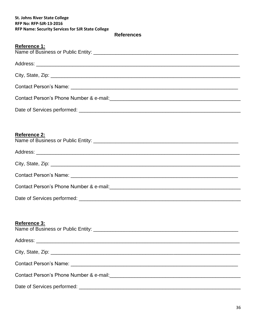#### **References**

| <b>Reference 1:</b> |
|---------------------|
|---------------------|

| Contact Person's Phone Number & e-mail:<br><u> Contact Person's Phone Number &amp; e-mail:</u> |  |  |  |  |
|------------------------------------------------------------------------------------------------|--|--|--|--|
|                                                                                                |  |  |  |  |
|                                                                                                |  |  |  |  |
| <b>Reference 2:</b>                                                                            |  |  |  |  |
|                                                                                                |  |  |  |  |
|                                                                                                |  |  |  |  |
|                                                                                                |  |  |  |  |
|                                                                                                |  |  |  |  |
|                                                                                                |  |  |  |  |
|                                                                                                |  |  |  |  |
|                                                                                                |  |  |  |  |

# **Reference 3:**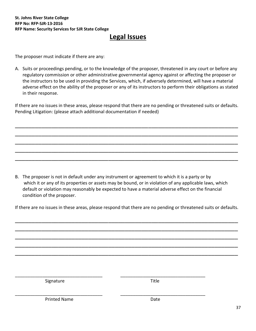# **Legal Issues**

The proposer must indicate if there are any:

A. Suits or proceedings pending, or to the knowledge of the proposer, threatened in any court or before any regulatory commission or other administrative governmental agency against or affecting the proposer or the instructors to be used in providing the Services, which, if adversely determined, will have a material adverse effect on the ability of the proposer or any of its instructors to perform their obligations as stated in their response.

If there are no issues in these areas, please respond that there are no pending or threatened suits or defaults. Pending Litigation: (please attach additional documentation if needed)

\_\_\_\_\_\_\_\_\_\_\_\_\_\_\_\_\_\_\_\_\_\_\_\_\_\_\_\_\_\_\_\_\_\_\_\_\_\_\_\_\_\_\_\_\_\_\_\_\_\_\_\_\_\_\_\_\_\_\_\_\_\_\_\_\_\_\_ \_\_\_\_\_\_\_\_\_\_\_\_\_\_\_\_\_\_\_\_\_\_\_\_\_\_\_\_\_\_\_\_\_\_\_\_\_\_\_\_\_\_\_\_\_\_\_\_\_\_\_\_\_\_\_\_\_\_\_\_\_\_\_\_\_\_\_ \_\_\_\_\_\_\_\_\_\_\_\_\_\_\_\_\_\_\_\_\_\_\_\_\_\_\_\_\_\_\_\_\_\_\_\_\_\_\_\_\_\_\_\_\_\_\_\_\_\_\_\_\_\_\_\_\_\_\_\_\_\_\_\_\_\_\_ \_\_\_\_\_\_\_\_\_\_\_\_\_\_\_\_\_\_\_\_\_\_\_\_\_\_\_\_\_\_\_\_\_\_\_\_\_\_\_\_\_\_\_\_\_\_\_\_\_\_\_\_\_\_\_\_\_\_\_\_\_\_\_\_\_\_\_ \_\_\_\_\_\_\_\_\_\_\_\_\_\_\_\_\_\_\_\_\_\_\_\_\_\_\_\_\_\_\_\_\_\_\_\_\_\_\_\_\_\_\_\_\_\_\_\_\_\_\_\_\_\_\_\_\_\_\_\_\_\_\_\_\_\_\_

B. The proposer is not in default under any instrument or agreement to which it is a party or by which it or any of its properties or assets may be bound, or in violation of any applicable laws, which default or violation may reasonably be expected to have a material adverse effect on the financial condition of the proposer.

If there are no issues in these areas, please respond that there are no pending or threatened suits or defaults.

\_\_\_\_\_\_\_\_\_\_\_\_\_\_\_\_\_\_\_\_\_\_\_\_\_\_\_\_\_\_\_\_\_\_\_\_\_\_\_\_\_\_\_\_\_\_\_\_\_\_\_\_\_\_\_\_\_\_\_\_\_\_\_\_\_\_\_

| Signature           | Title |   |
|---------------------|-------|---|
|                     |       |   |
| <b>Printed Name</b> | Date  |   |
|                     |       | 3 |